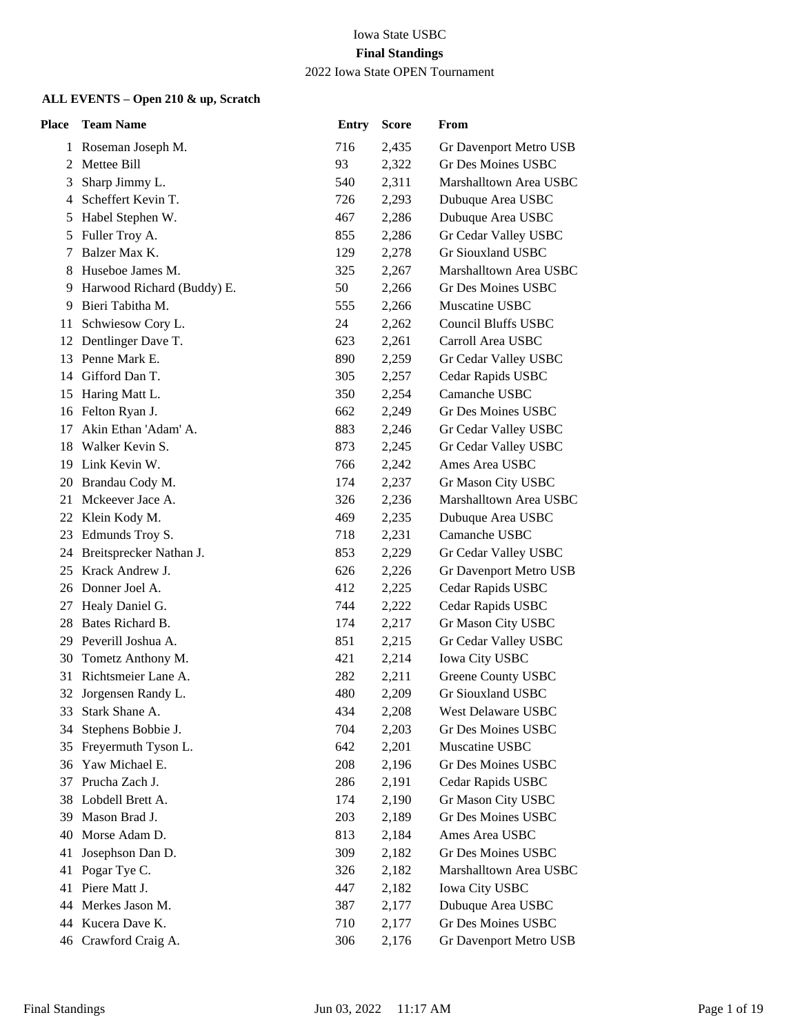| <b>Place</b> | <b>Team Name</b>             | <b>Entry</b> | <b>Score</b> | From                       |
|--------------|------------------------------|--------------|--------------|----------------------------|
|              | 1 Roseman Joseph M.          | 716          | 2,435        | Gr Davenport Metro USB     |
| 2            | Mettee Bill                  | 93           | 2,322        | Gr Des Moines USBC         |
| 3            | Sharp Jimmy L.               | 540          | 2,311        | Marshalltown Area USBC     |
| 4            | Scheffert Kevin T.           | 726          | 2,293        | Dubuque Area USBC          |
| 5            | Habel Stephen W.             | 467          | 2,286        | Dubuque Area USBC          |
| 5            | Fuller Troy A.               | 855          | 2,286        | Gr Cedar Valley USBC       |
| 7            | Balzer Max K.                | 129          | 2,278        | <b>Gr Siouxland USBC</b>   |
| 8            | Huseboe James M.             | 325          | 2,267        | Marshalltown Area USBC     |
|              | 9 Harwood Richard (Buddy) E. | 50           | 2,266        | Gr Des Moines USBC         |
| 9            | Bieri Tabitha M.             | 555          | 2,266        | Muscatine USBC             |
| 11           | Schwiesow Cory L.            | 24           | 2,262        | <b>Council Bluffs USBC</b> |
| 12           | Dentlinger Dave T.           | 623          | 2,261        | Carroll Area USBC          |
| 13           | Penne Mark E.                | 890          | 2,259        | Gr Cedar Valley USBC       |
| 14           | Gifford Dan T.               | 305          | 2,257        | Cedar Rapids USBC          |
| 15           | Haring Matt L.               | 350          | 2,254        | Camanche USBC              |
| 16           | Felton Ryan J.               | 662          | 2,249        | Gr Des Moines USBC         |
| 17           | Akin Ethan 'Adam' A.         | 883          | 2,246        | Gr Cedar Valley USBC       |
| 18           | Walker Kevin S.              | 873          | 2,245        | Gr Cedar Valley USBC       |
| 19.          | Link Kevin W.                | 766          | 2,242        | Ames Area USBC             |
| 20           | Brandau Cody M.              | 174          | 2,237        | Gr Mason City USBC         |
| 21           | Mckeever Jace A.             | 326          | 2,236        | Marshalltown Area USBC     |
| 22           | Klein Kody M.                | 469          | 2,235        | Dubuque Area USBC          |
| 23           | Edmunds Troy S.              | 718          | 2,231        | Camanche USBC              |
| 24           | Breitsprecker Nathan J.      | 853          | 2,229        | Gr Cedar Valley USBC       |
| 25           | Krack Andrew J.              | 626          | 2,226        | Gr Davenport Metro USB     |
| 26           | Donner Joel A.               | 412          | 2,225        | Cedar Rapids USBC          |
| 27           | Healy Daniel G.              | 744          | 2,222        | Cedar Rapids USBC          |
| 28           | Bates Richard B.             | 174          | 2,217        | Gr Mason City USBC         |
|              | 29 Peverill Joshua A.        | 851          | 2,215        | Gr Cedar Valley USBC       |
| 30           | Tometz Anthony M.            | 421          | 2,214        | <b>Iowa City USBC</b>      |
| 31           | Richtsmeier Lane A.          | 282          | 2,211        | Greene County USBC         |
|              | 32 Jorgensen Randy L.        | 480          | 2,209        | <b>Gr Siouxland USBC</b>   |
| 33           | Stark Shane A.               | 434          | 2,208        | West Delaware USBC         |
| 34           | Stephens Bobbie J.           | 704          | 2,203        | Gr Des Moines USBC         |
| 35           | Freyermuth Tyson L.          | 642          | 2,201        | Muscatine USBC             |
| 36           | Yaw Michael E.               | 208          | 2,196        | <b>Gr Des Moines USBC</b>  |
| 37           | Prucha Zach J.               | 286          | 2,191        | Cedar Rapids USBC          |
| 38           | Lobdell Brett A.             | 174          | 2,190        | Gr Mason City USBC         |
| 39           | Mason Brad J.                | 203          | 2,189        | Gr Des Moines USBC         |
| 40           | Morse Adam D.                | 813          | 2,184        | Ames Area USBC             |
| 41           | Josephson Dan D.             | 309          | 2,182        | Gr Des Moines USBC         |
| 41           | Pogar Tye C.                 | 326          | 2,182        | Marshalltown Area USBC     |
| 41           | Piere Matt J.                | 447          | 2,182        | <b>Iowa City USBC</b>      |
| 44           | Merkes Jason M.              | 387          | 2,177        | Dubuque Area USBC          |
| 44           | Kucera Dave K.               | 710          | 2,177        | Gr Des Moines USBC         |
|              | 46 Crawford Craig A.         | 306          | 2,176        | Gr Davenport Metro USB     |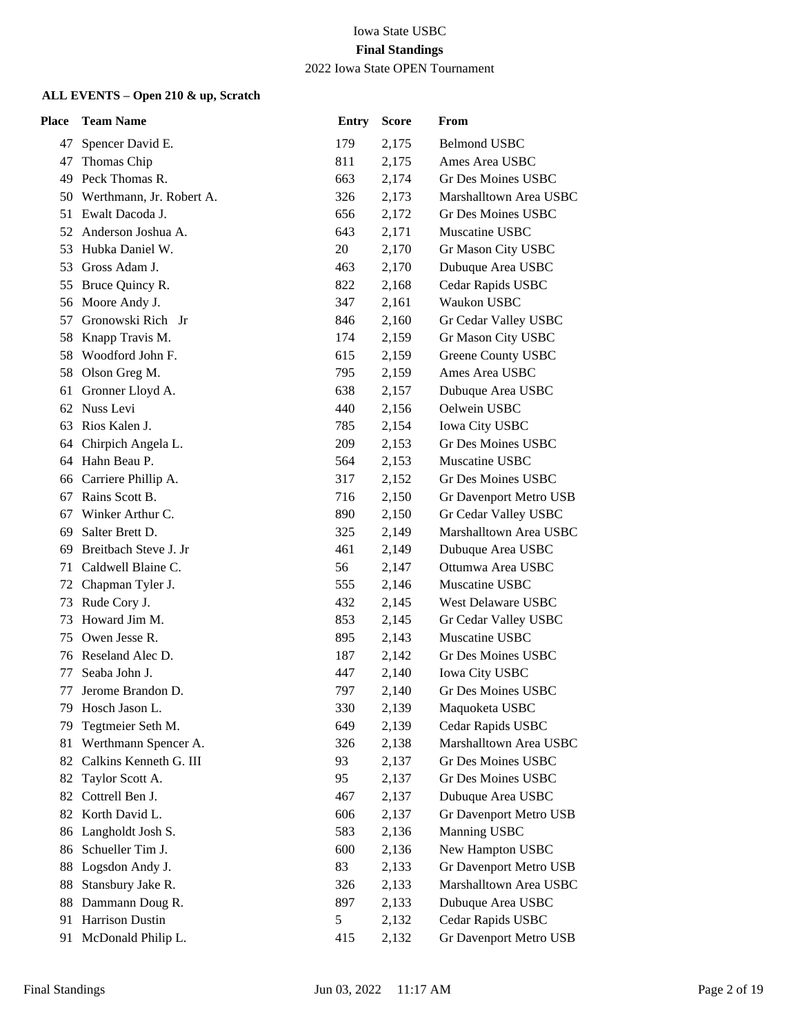2022 Iowa State OPEN Tournament

| Place | <b>Team Name</b>         | <b>Entry</b> | <b>Score</b> | From                      |
|-------|--------------------------|--------------|--------------|---------------------------|
| 47    | Spencer David E.         | 179          | 2,175        | <b>Belmond USBC</b>       |
| 47    | Thomas Chip              | 811          | 2,175        | Ames Area USBC            |
|       | 49 Peck Thomas R.        | 663          | 2,174        | Gr Des Moines USBC        |
| 50    | Werthmann, Jr. Robert A. | 326          | 2,173        | Marshalltown Area USBC    |
|       | 51 Ewalt Dacoda J.       | 656          | 2,172        | Gr Des Moines USBC        |
| 52    | Anderson Joshua A.       | 643          | 2,171        | Muscatine USBC            |
| 53    | Hubka Daniel W.          | 20           | 2,170        | Gr Mason City USBC        |
| 53    | Gross Adam J.            | 463          | 2,170        | Dubuque Area USBC         |
| 55    | Bruce Quincy R.          | 822          | 2,168        | Cedar Rapids USBC         |
| 56    | Moore Andy J.            | 347          | 2,161        | Waukon USBC               |
| 57    | Gronowski Rich Jr        | 846          | 2,160        | Gr Cedar Valley USBC      |
| 58    | Knapp Travis M.          | 174          | 2,159        | Gr Mason City USBC        |
| 58    | Woodford John F.         | 615          | 2,159        | Greene County USBC        |
| 58    | Olson Greg M.            | 795          | 2,159        | Ames Area USBC            |
| 61    | Gronner Lloyd A.         | 638          | 2,157        | Dubuque Area USBC         |
| 62    | Nuss Levi                | 440          | 2,156        | Oelwein USBC              |
| 63    | Rios Kalen J.            | 785          | 2,154        | <b>Iowa City USBC</b>     |
| 64    | Chirpich Angela L.       | 209          | 2,153        | <b>Gr Des Moines USBC</b> |
|       | 64 Hahn Beau P.          | 564          | 2,153        | Muscatine USBC            |
| 66    | Carriere Phillip A.      | 317          | 2,152        | Gr Des Moines USBC        |
| 67    | Rains Scott B.           | 716          | 2,150        | Gr Davenport Metro USB    |
| 67    | Winker Arthur C.         | 890          | 2,150        | Gr Cedar Valley USBC      |
| 69    | Salter Brett D.          | 325          | 2,149        | Marshalltown Area USBC    |
| 69    | Breitbach Steve J. Jr    | 461          | 2,149        | Dubuque Area USBC         |
| 71    | Caldwell Blaine C.       | 56           | 2,147        | Ottumwa Area USBC         |
| 72    | Chapman Tyler J.         | 555          | 2,146        | Muscatine USBC            |
| 73    | Rude Cory J.             | 432          | 2,145        | West Delaware USBC        |
| 73    | Howard Jim M.            | 853          | 2,145        | Gr Cedar Valley USBC      |
| 75    | Owen Jesse R.            | 895          | 2,143        | Muscatine USBC            |
| 76    | Reseland Alec D.         | 187          | 2,142        | <b>Gr Des Moines USBC</b> |
| 77    | Seaba John J.            | 447          | 2,140        | <b>Iowa City USBC</b>     |
| 77    | Jerome Brandon D.        | 797          | 2,140        | Gr Des Moines USBC        |
| 79    | Hosch Jason L.           | 330          | 2,139        | Maquoketa USBC            |
| 79    | Tegtmeier Seth M.        | 649          | 2,139        | Cedar Rapids USBC         |
| 81    | Werthmann Spencer A.     | 326          | 2,138        | Marshalltown Area USBC    |
| 82    | Calkins Kenneth G. III   | 93           | 2,137        | Gr Des Moines USBC        |
| 82    | Taylor Scott A.          | 95           | 2,137        | Gr Des Moines USBC        |
| 82    | Cottrell Ben J.          | 467          | 2,137        | Dubuque Area USBC         |
| 82    | Korth David L.           | 606          | 2,137        | Gr Davenport Metro USB    |
| 86    | Langholdt Josh S.        | 583          | 2,136        | Manning USBC              |
| 86    | Schueller Tim J.         | 600          | 2,136        | New Hampton USBC          |
| 88    | Logsdon Andy J.          | 83           | 2,133        | Gr Davenport Metro USB    |
| 88    | Stansbury Jake R.        | 326          | 2,133        | Marshalltown Area USBC    |
| 88    | Dammann Doug R.          | 897          | 2,133        | Dubuque Area USBC         |
| 91    | Harrison Dustin          | 5            | 2,132        | Cedar Rapids USBC         |
| 91    | McDonald Philip L.       | 415          | 2,132        | Gr Davenport Metro USB    |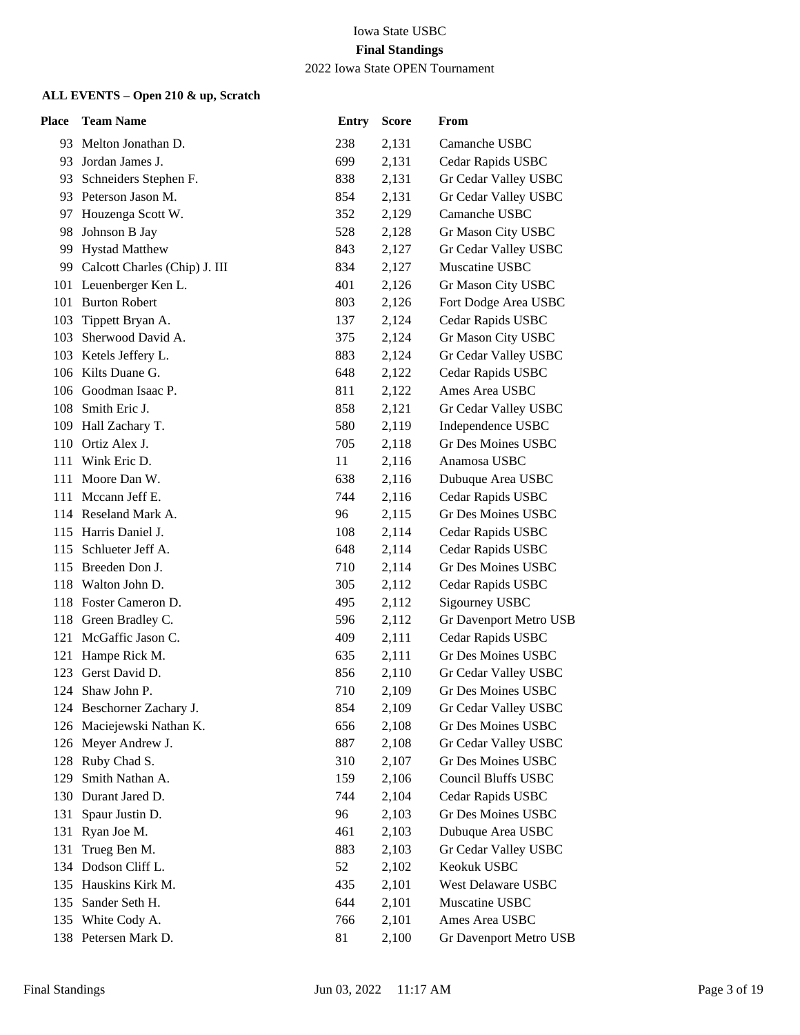## 2022 Iowa State OPEN Tournament

| <b>Place</b> | <b>Team Name</b>                 | <b>Entry</b> | <b>Score</b> | From                        |
|--------------|----------------------------------|--------------|--------------|-----------------------------|
| 93           | Melton Jonathan D.               | 238          | 2,131        | Camanche USBC               |
|              | 93 Jordan James J.               | 699          | 2,131        | Cedar Rapids USBC           |
| 93           | Schneiders Stephen F.            | 838          | 2,131        | Gr Cedar Valley USBC        |
| 93           | Peterson Jason M.                | 854          | 2,131        | Gr Cedar Valley USBC        |
| 97           | Houzenga Scott W.                | 352          | 2,129        | Camanche USBC               |
| 98           | Johnson B Jay                    | 528          | 2,128        | Gr Mason City USBC          |
| 99           | <b>Hystad Matthew</b>            | 843          | 2,127        | Gr Cedar Valley USBC        |
|              | 99 Calcott Charles (Chip) J. III | 834          | 2,127        | Muscatine USBC              |
|              | 101 Leuenberger Ken L.           | 401          | 2,126        | Gr Mason City USBC          |
|              | 101 Burton Robert                | 803          | 2,126        | Fort Dodge Area USBC        |
| 103          | Tippett Bryan A.                 | 137          | 2,124        | Cedar Rapids USBC           |
| 103          | Sherwood David A.                | 375          | 2,124        | Gr Mason City USBC          |
|              | 103 Ketels Jeffery L.            | 883          | 2,124        | Gr Cedar Valley USBC        |
|              | 106 Kilts Duane G.               | 648          | 2,122        | Cedar Rapids USBC           |
|              | 106 Goodman Isaac P.             | 811          | 2,122        | Ames Area USBC              |
| 108          | Smith Eric J.                    | 858          | 2,121        | Gr Cedar Valley USBC        |
|              | 109 Hall Zachary T.              | 580          | 2,119        | Independence USBC           |
|              | 110 Ortiz Alex J.                | 705          | 2,118        | <b>Gr Des Moines USBC</b>   |
| 111          | Wink Eric D.                     | 11           | 2,116        | Anamosa USBC                |
| 111          | Moore Dan W.                     | 638          | 2,116        | Dubuque Area USBC           |
|              | 111 Mccann Jeff E.               | 744          | 2,116        | Cedar Rapids USBC           |
|              | 114 Reseland Mark A.             | 96           | 2,115        | Gr Des Moines USBC          |
| 115          | Harris Daniel J.                 | 108          | 2,114        | Cedar Rapids USBC           |
| 115          | Schlueter Jeff A.                | 648          | 2,114        | Cedar Rapids USBC           |
|              | 115 Breeden Don J.               | 710          | 2,114        | Gr Des Moines USBC          |
|              | 118 Walton John D.               | 305          | 2,112        | Cedar Rapids USBC           |
|              | 118 Foster Cameron D.            | 495          | 2,112        | Sigourney USBC              |
|              | 118 Green Bradley C.             | 596          | 2,112        | Gr Davenport Metro USB      |
| 121          | McGaffic Jason C.                | 409          | 2,111        | Cedar Rapids USBC           |
| 121          | Hampe Rick M.                    | 635          | 2,111        | Gr Des Moines USBC          |
| 123          | Gerst David D.                   | 856          | 2,110        | Gr Cedar Valley USBC        |
|              | 124 Shaw John P.                 | 710          | 2,109        | Gr Des Moines USBC          |
|              | 124 Beschorner Zachary J.        | 854          | 2,109        | <b>Gr Cedar Valley USBC</b> |
|              | 126 Maciejewski Nathan K.        | 656          | 2,108        | Gr Des Moines USBC          |
| 126          | Meyer Andrew J.                  | 887          | 2,108        | Gr Cedar Valley USBC        |
| 128          | Ruby Chad S.                     | 310          | 2,107        | Gr Des Moines USBC          |
| 129          | Smith Nathan A.                  | 159          | 2,106        | Council Bluffs USBC         |
|              | 130 Durant Jared D.              | 744          | 2,104        | Cedar Rapids USBC           |
| 131          | Spaur Justin D.                  | 96           | 2,103        | <b>Gr Des Moines USBC</b>   |
| 131          | Ryan Joe M.                      | 461          | 2,103        | Dubuque Area USBC           |
| 131          | Trueg Ben M.                     | 883          | 2,103        | Gr Cedar Valley USBC        |
|              | 134 Dodson Cliff L.              | 52           | 2,102        | Keokuk USBC                 |
| 135          | Hauskins Kirk M.                 | 435          | 2,101        | West Delaware USBC          |
| 135          | Sander Seth H.                   | 644          | 2,101        | Muscatine USBC              |
|              | 135 White Cody A.                | 766          | 2,101        | Ames Area USBC              |
|              | 138 Petersen Mark D.             | 81           | 2,100        | Gr Davenport Metro USB      |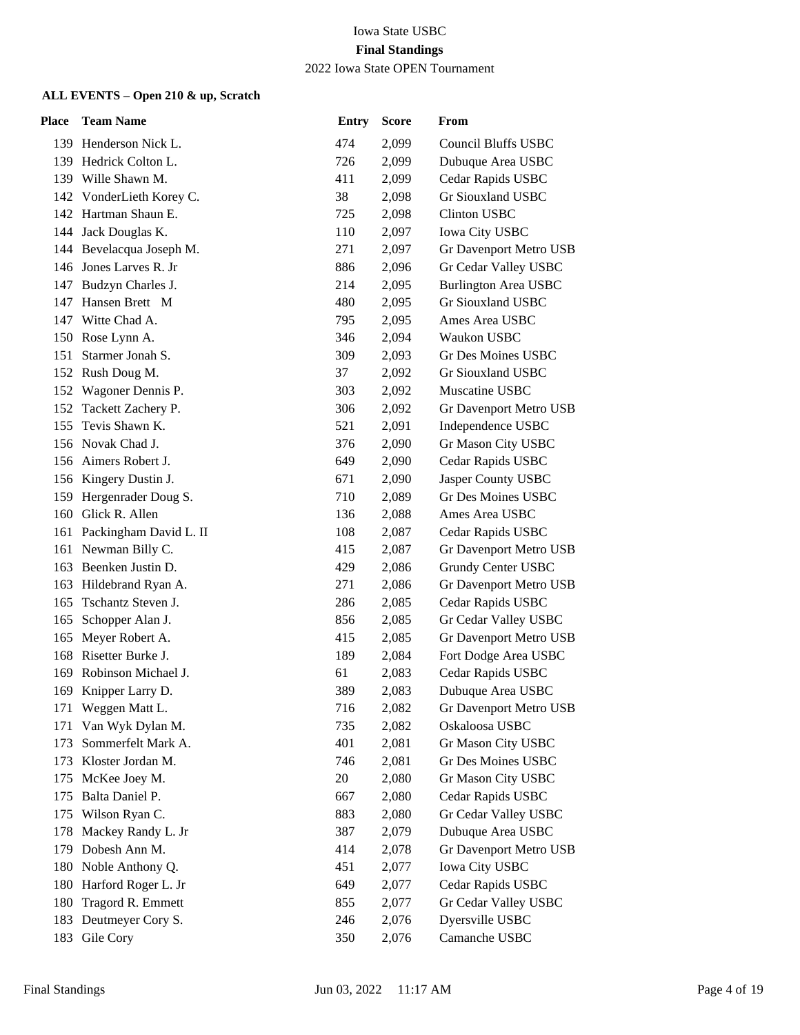#### 2022 Iowa State OPEN Tournament

| Place | <b>Team Name</b>           | <b>Entry</b> | <b>Score</b> | From                        |
|-------|----------------------------|--------------|--------------|-----------------------------|
|       | 139 Henderson Nick L.      | 474          | 2,099        | <b>Council Bluffs USBC</b>  |
|       | 139 Hedrick Colton L.      | 726          | 2,099        | Dubuque Area USBC           |
|       | 139 Wille Shawn M.         | 411          | 2,099        | Cedar Rapids USBC           |
|       | 142 VonderLieth Korey C.   | 38           | 2,098        | <b>Gr Siouxland USBC</b>    |
|       | 142 Hartman Shaun E.       | 725          | 2,098        | <b>Clinton USBC</b>         |
|       | 144 Jack Douglas K.        | 110          | 2,097        | <b>Iowa City USBC</b>       |
|       | 144 Bevelacqua Joseph M.   | 271          | 2,097        | Gr Davenport Metro USB      |
|       | 146 Jones Larves R. Jr     | 886          | 2,096        | Gr Cedar Valley USBC        |
|       | 147 Budzyn Charles J.      | 214          | 2,095        | <b>Burlington Area USBC</b> |
| 147   | Hansen Brett M             | 480          | 2,095        | Gr Siouxland USBC           |
|       | 147 Witte Chad A.          | 795          | 2,095        | Ames Area USBC              |
|       | 150 Rose Lynn A.           | 346          | 2,094        | Waukon USBC                 |
| 151   | Starmer Jonah S.           | 309          | 2,093        | Gr Des Moines USBC          |
|       | 152 Rush Doug M.           | 37           | 2,092        | Gr Siouxland USBC           |
|       | 152 Wagoner Dennis P.      | 303          | 2,092        | Muscatine USBC              |
|       | 152 Tackett Zachery P.     | 306          | 2,092        | Gr Davenport Metro USB      |
| 155   | Tevis Shawn K.             | 521          | 2,091        | Independence USBC           |
|       | 156 Novak Chad J.          | 376          | 2,090        | Gr Mason City USBC          |
|       | 156 Aimers Robert J.       | 649          | 2,090        | Cedar Rapids USBC           |
|       | 156 Kingery Dustin J.      | 671          | 2,090        | Jasper County USBC          |
|       | 159 Hergenrader Doug S.    | 710          | 2,089        | <b>Gr Des Moines USBC</b>   |
|       | 160 Glick R. Allen         | 136          | 2,088        | Ames Area USBC              |
|       | 161 Packingham David L. II | 108          | 2,087        | Cedar Rapids USBC           |
|       | 161 Newman Billy C.        | 415          | 2,087        | Gr Davenport Metro USB      |
|       | 163 Beenken Justin D.      | 429          | 2,086        | Grundy Center USBC          |
|       | 163 Hildebrand Ryan A.     | 271          | 2,086        | Gr Davenport Metro USB      |
| 165   | Tschantz Steven J.         | 286          | 2,085        | Cedar Rapids USBC           |
| 165   | Schopper Alan J.           | 856          | 2,085        | Gr Cedar Valley USBC        |
|       | 165 Meyer Robert A.        | 415          | 2,085        | Gr Davenport Metro USB      |
| 168   | Risetter Burke J.          | 189          | 2,084        | Fort Dodge Area USBC        |
| 169   | Robinson Michael J.        | 61           | 2,083        | Cedar Rapids USBC           |
|       | 169 Knipper Larry D.       | 389          | 2,083        | Dubuque Area USBC           |
|       | 171 Weggen Matt L.         | 716          | 2,082        | Gr Davenport Metro USB      |
| 171   | Van Wyk Dylan M.           | 735          | 2,082        | Oskaloosa USBC              |
| 173   | Sommerfelt Mark A.         | 401          | 2,081        | Gr Mason City USBC          |
|       | 173 Kloster Jordan M.      | 746          | 2,081        | Gr Des Moines USBC          |
| 175   | McKee Joey M.              | 20           | 2,080        | Gr Mason City USBC          |
| 175   | Balta Daniel P.            | 667          | 2,080        | Cedar Rapids USBC           |
| 175   | Wilson Ryan C.             | 883          | 2,080        | Gr Cedar Valley USBC        |
| 178   | Mackey Randy L. Jr         | 387          | 2,079        | Dubuque Area USBC           |
| 179   | Dobesh Ann M.              | 414          | 2,078        | Gr Davenport Metro USB      |
| 180   | Noble Anthony Q.           | 451          | 2,077        | <b>Iowa City USBC</b>       |
| 180   | Harford Roger L. Jr        | 649          | 2,077        | Cedar Rapids USBC           |
| 180   | Tragord R. Emmett          | 855          | 2,077        | Gr Cedar Valley USBC        |
| 183   | Deutmeyer Cory S.          | 246          | 2,076        | Dyersville USBC             |
| 183   | Gile Cory                  | 350          | 2,076        | Camanche USBC               |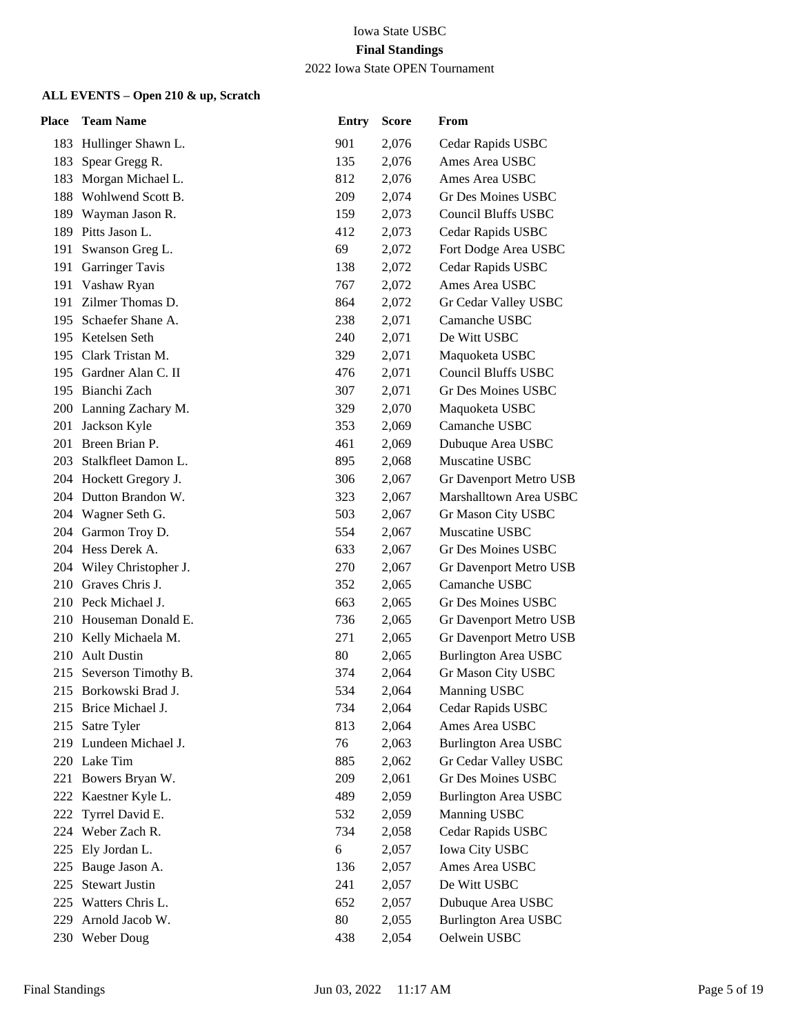## 2022 Iowa State OPEN Tournament

| Place | <b>Team Name</b>         | <b>Entry</b> | <b>Score</b> | From                        |
|-------|--------------------------|--------------|--------------|-----------------------------|
|       | 183 Hullinger Shawn L.   | 901          | 2,076        | Cedar Rapids USBC           |
| 183   | Spear Gregg R.           | 135          | 2,076        | Ames Area USBC              |
| 183   | Morgan Michael L.        | 812          | 2,076        | Ames Area USBC              |
|       | 188 Wohlwend Scott B.    | 209          | 2,074        | Gr Des Moines USBC          |
|       | 189 Wayman Jason R.      | 159          | 2,073        | <b>Council Bluffs USBC</b>  |
| 189   | Pitts Jason L.           | 412          | 2,073        | Cedar Rapids USBC           |
| 191   | Swanson Greg L.          | 69           | 2,072        | Fort Dodge Area USBC        |
|       | 191 Garringer Tavis      | 138          | 2,072        | Cedar Rapids USBC           |
|       | 191 Vashaw Ryan          | 767          | 2,072        | Ames Area USBC              |
| 191   | Zilmer Thomas D.         | 864          | 2,072        | Gr Cedar Valley USBC        |
| 195   | Schaefer Shane A.        | 238          | 2,071        | Camanche USBC               |
|       | 195 Ketelsen Seth        | 240          | 2,071        | De Witt USBC                |
|       | 195 Clark Tristan M.     | 329          | 2,071        | Maquoketa USBC              |
|       | 195 Gardner Alan C. II   | 476          | 2,071        | <b>Council Bluffs USBC</b>  |
|       | 195 Bianchi Zach         | 307          | 2,071        | Gr Des Moines USBC          |
|       | 200 Lanning Zachary M.   | 329          | 2,070        | Maquoketa USBC              |
|       | 201 Jackson Kyle         | 353          | 2,069        | Camanche USBC               |
|       | 201 Breen Brian P.       | 461          | 2,069        | Dubuque Area USBC           |
| 203   | Stalkfleet Damon L.      | 895          | 2,068        | Muscatine USBC              |
|       | 204 Hockett Gregory J.   | 306          | 2,067        | Gr Davenport Metro USB      |
|       | 204 Dutton Brandon W.    | 323          | 2,067        | Marshalltown Area USBC      |
|       | 204 Wagner Seth G.       | 503          | 2,067        | Gr Mason City USBC          |
|       | 204 Garmon Troy D.       | 554          | 2,067        | Muscatine USBC              |
|       | 204 Hess Derek A.        | 633          | 2,067        | Gr Des Moines USBC          |
|       | 204 Wiley Christopher J. | 270          | 2,067        | Gr Davenport Metro USB      |
|       | 210 Graves Chris J.      | 352          | 2,065        | Camanche USBC               |
|       | 210 Peck Michael J.      | 663          | 2,065        | Gr Des Moines USBC          |
|       | 210 Houseman Donald E.   | 736          | 2,065        | Gr Davenport Metro USB      |
|       | 210 Kelly Michaela M.    | 271          | 2,065        | Gr Davenport Metro USB      |
| 210   | <b>Ault Dustin</b>       | 80           | 2,065        | <b>Burlington Area USBC</b> |
| 215   | Severson Timothy B.      | 374          | 2,064        | Gr Mason City USBC          |
|       | 215 Borkowski Brad J.    | 534          | 2,064        | Manning USBC                |
|       | 215 Brice Michael J.     | 734          | 2,064        | Cedar Rapids USBC           |
| 215   | Satre Tyler              | 813          | 2,064        | Ames Area USBC              |
| 219   | Lundeen Michael J.       | 76           | 2,063        | <b>Burlington Area USBC</b> |
|       | 220 Lake Tim             | 885          | 2,062        | Gr Cedar Valley USBC        |
|       | 221 Bowers Bryan W.      | 209          | 2,061        | Gr Des Moines USBC          |
| 222   | Kaestner Kyle L.         | 489          | 2,059        | <b>Burlington Area USBC</b> |
| 222   | Tyrrel David E.          | 532          | 2,059        | Manning USBC                |
| 224   | Weber Zach R.            | 734          | 2,058        | Cedar Rapids USBC           |
| 225   | Ely Jordan L.            | $\sqrt{6}$   | 2,057        | <b>Iowa City USBC</b>       |
| 225   | Bauge Jason A.           | 136          | 2,057        | Ames Area USBC              |
| 225   | <b>Stewart Justin</b>    | 241          | 2,057        | De Witt USBC                |
| 225   | Watters Chris L.         | 652          | 2,057        | Dubuque Area USBC           |
| 229   | Arnold Jacob W.          | 80           | 2,055        | <b>Burlington Area USBC</b> |
|       | 230 Weber Doug           | 438          | 2,054        | Oelwein USBC                |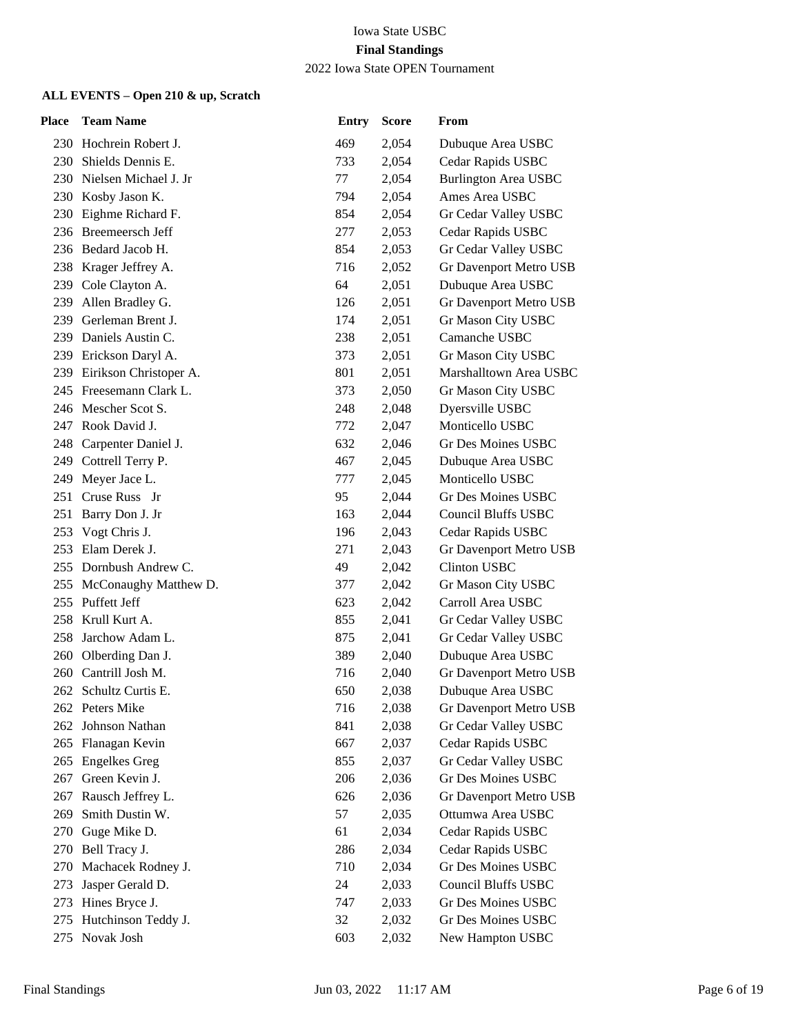| Place | <b>Team Name</b>           | <b>Entry</b> | <b>Score</b> | From                          |
|-------|----------------------------|--------------|--------------|-------------------------------|
|       | 230 Hochrein Robert J.     | 469          | 2,054        | Dubuque Area USBC             |
|       | 230 Shields Dennis E.      | 733          | 2,054        | Cedar Rapids USBC             |
|       | 230 Nielsen Michael J. Jr  | 77           | 2,054        | <b>Burlington Area USBC</b>   |
| 230   | Kosby Jason K.             | 794          | 2,054        | Ames Area USBC                |
| 230   | Eighme Richard F.          | 854          | 2,054        | Gr Cedar Valley USBC          |
|       | 236 Breemeersch Jeff       | 277          | 2,053        | Cedar Rapids USBC             |
|       | 236 Bedard Jacob H.        | 854          | 2,053        | Gr Cedar Valley USBC          |
|       | 238 Krager Jeffrey A.      | 716          | 2,052        | Gr Davenport Metro USB        |
|       | 239 Cole Clayton A.        | 64           | 2,051        | Dubuque Area USBC             |
|       | 239 Allen Bradley G.       | 126          | 2,051        | Gr Davenport Metro USB        |
|       | 239 Gerleman Brent J.      | 174          | 2,051        | Gr Mason City USBC            |
| 239   | Daniels Austin C.          | 238          | 2,051        | Camanche USBC                 |
|       | 239 Erickson Daryl A.      | 373          | 2,051        | Gr Mason City USBC            |
|       | 239 Eirikson Christoper A. | 801          | 2,051        | Marshalltown Area USBC        |
|       | 245 Freesemann Clark L.    | 373          | 2,050        | Gr Mason City USBC            |
|       | 246 Mescher Scot S.        | 248          | 2,048        | Dyersville USBC               |
|       | 247 Rook David J.          | 772          | 2,047        | Monticello USBC               |
|       | 248 Carpenter Daniel J.    | 632          | 2,046        | Gr Des Moines USBC            |
|       | 249 Cottrell Terry P.      | 467          | 2,045        | Dubuque Area USBC             |
| 249   | Meyer Jace L.              | 777          | 2,045        | Monticello USBC               |
|       | 251 Cruse Russ Jr          | 95           | 2,044        | Gr Des Moines USBC            |
|       | 251 Barry Don J. Jr        | 163          | 2,044        | <b>Council Bluffs USBC</b>    |
| 253   | Vogt Chris J.              | 196          | 2,043        | Cedar Rapids USBC             |
|       | 253 Elam Derek J.          | 271          | 2,043        | Gr Davenport Metro USB        |
|       | 255 Dornbush Andrew C.     | 49           | 2,042        | <b>Clinton USBC</b>           |
|       | 255 McConaughy Matthew D.  | 377          | 2,042        | Gr Mason City USBC            |
|       | 255 Puffett Jeff           | 623          | 2,042        | Carroll Area USBC             |
|       | 258 Krull Kurt A.          | 855          | 2,041        | Gr Cedar Valley USBC          |
| 258   | Jarchow Adam L.            | 875          | 2,041        | Gr Cedar Valley USBC          |
|       | 260 Olberding Dan J.       | 389          | 2,040        | Dubuque Area USBC             |
|       | 260 Cantrill Josh M.       | 716          | 2,040        | Gr Davenport Metro USB        |
|       | 262 Schultz Curtis E.      | 650          | 2,038        | Dubuque Area USBC             |
|       | 262 Peters Mike            | 716          | 2,038        | <b>Gr Davenport Metro USB</b> |
|       | 262 Johnson Nathan         | 841          | 2,038        | Gr Cedar Valley USBC          |
| 265   | Flanagan Kevin             | 667          | 2,037        | Cedar Rapids USBC             |
| 265   | <b>Engelkes Greg</b>       | 855          | 2,037        | Gr Cedar Valley USBC          |
| 267   | Green Kevin J.             | 206          | 2,036        | Gr Des Moines USBC            |
| 267   | Rausch Jeffrey L.          | 626          | 2,036        | Gr Davenport Metro USB        |
| 269   | Smith Dustin W.            | 57           | 2,035        | Ottumwa Area USBC             |
| 270   | Guge Mike D.               | 61           | 2,034        | Cedar Rapids USBC             |
| 270   | Bell Tracy J.              | 286          | 2,034        | Cedar Rapids USBC             |
| 270   | Machacek Rodney J.         | 710          | 2,034        | Gr Des Moines USBC            |
| 273   | Jasper Gerald D.           | 24           | 2,033        | <b>Council Bluffs USBC</b>    |
| 273   | Hines Bryce J.             | 747          | 2,033        | Gr Des Moines USBC            |
| 275   | Hutchinson Teddy J.        | 32           | 2,032        | Gr Des Moines USBC            |
| 275   | Novak Josh                 | 603          | 2,032        | New Hampton USBC              |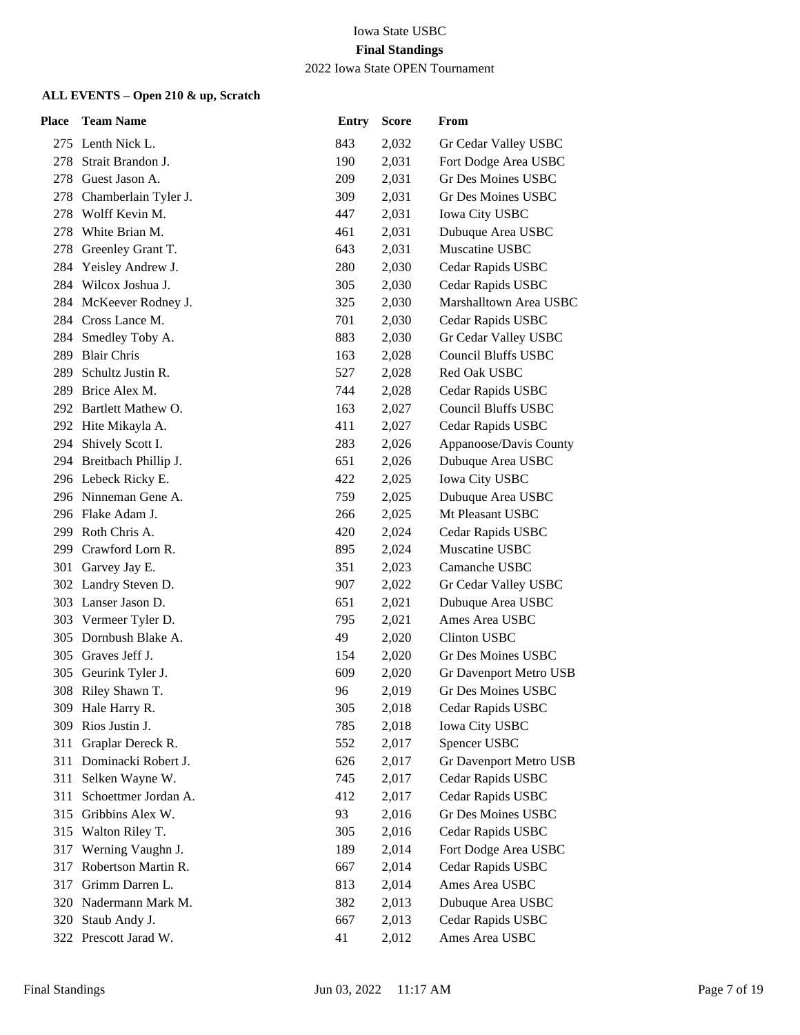2022 Iowa State OPEN Tournament

| Place | <b>Team Name</b>         | <b>Entry</b> | <b>Score</b> | From                       |
|-------|--------------------------|--------------|--------------|----------------------------|
|       | 275 Lenth Nick L.        | 843          | 2,032        | Gr Cedar Valley USBC       |
| 278   | Strait Brandon J.        | 190          | 2,031        | Fort Dodge Area USBC       |
| 278   | Guest Jason A.           | 209          | 2,031        | <b>Gr Des Moines USBC</b>  |
| 278   | Chamberlain Tyler J.     | 309          | 2,031        | <b>Gr Des Moines USBC</b>  |
| 278   | Wolff Kevin M.           | 447          | 2,031        | <b>Iowa City USBC</b>      |
| 278   | White Brian M.           | 461          | 2,031        | Dubuque Area USBC          |
| 278   | Greenley Grant T.        | 643          | 2,031        | Muscatine USBC             |
| 284   | Yeisley Andrew J.        | 280          | 2,030        | Cedar Rapids USBC          |
|       | 284 Wilcox Joshua J.     | 305          | 2,030        | Cedar Rapids USBC          |
|       | 284 McKeever Rodney J.   | 325          | 2,030        | Marshalltown Area USBC     |
|       | 284 Cross Lance M.       | 701          | 2,030        | Cedar Rapids USBC          |
| 284   | Smedley Toby A.          | 883          | 2,030        | Gr Cedar Valley USBC       |
| 289   | <b>Blair Chris</b>       | 163          | 2,028        | <b>Council Bluffs USBC</b> |
| 289   | Schultz Justin R.        | 527          | 2,028        | Red Oak USBC               |
| 289   | Brice Alex M.            | 744          | 2,028        | Cedar Rapids USBC          |
|       | 292 Bartlett Mathew O.   | 163          | 2,027        | <b>Council Bluffs USBC</b> |
|       | 292 Hite Mikayla A.      | 411          | 2,027        | Cedar Rapids USBC          |
|       | 294 Shively Scott I.     | 283          | 2,026        | Appanoose/Davis County     |
|       | 294 Breitbach Phillip J. | 651          | 2,026        | Dubuque Area USBC          |
|       | 296 Lebeck Ricky E.      | 422          | 2,025        | <b>Iowa City USBC</b>      |
|       | 296 Ninneman Gene A.     | 759          | 2,025        | Dubuque Area USBC          |
|       | 296 Flake Adam J.        | 266          | 2,025        | Mt Pleasant USBC           |
| 299   | Roth Chris A.            | 420          | 2,024        | Cedar Rapids USBC          |
| 299   | Crawford Lorn R.         | 895          | 2,024        | Muscatine USBC             |
|       | 301 Garvey Jay E.        | 351          | 2,023        | Camanche USBC              |
|       | 302 Landry Steven D.     | 907          | 2,022        | Gr Cedar Valley USBC       |
|       | 303 Lanser Jason D.      | 651          | 2,021        | Dubuque Area USBC          |
|       | 303 Vermeer Tyler D.     | 795          | 2,021        | Ames Area USBC             |
|       | 305 Dornbush Blake A.    | 49           | 2,020        | <b>Clinton USBC</b>        |
| 305   | Graves Jeff J.           | 154          | 2,020        | Gr Des Moines USBC         |
| 305   | Geurink Tyler J.         | 609          | 2,020        | Gr Davenport Metro USB     |
| 308   | Riley Shawn T.           | 96           | 2,019        | Gr Des Moines USBC         |
|       | 309 Hale Harry R.        | 305          | 2,018        | Cedar Rapids USBC          |
| 309   | Rios Justin J.           | 785          | 2,018        | Iowa City USBC             |
| 311   | Graplar Dereck R.        | 552          | 2,017        | Spencer USBC               |
| 311   | Dominacki Robert J.      | 626          | 2,017        | Gr Davenport Metro USB     |
| 311   | Selken Wayne W.          | 745          | 2,017        | Cedar Rapids USBC          |
| 311   | Schoettmer Jordan A.     | 412          | 2,017        | Cedar Rapids USBC          |
| 315   | Gribbins Alex W.         | 93           | 2,016        | Gr Des Moines USBC         |
| 315   | Walton Riley T.          | 305          | 2,016        | Cedar Rapids USBC          |
| 317   | Werning Vaughn J.        | 189          | 2,014        | Fort Dodge Area USBC       |
| 317   | Robertson Martin R.      | 667          | 2,014        | Cedar Rapids USBC          |
| 317   | Grimm Darren L.          | 813          | 2,014        | Ames Area USBC             |
| 320   | Nadermann Mark M.        | 382          | 2,013        | Dubuque Area USBC          |
| 320   | Staub Andy J.            | 667          | 2,013        | Cedar Rapids USBC          |
| 322   | Prescott Jarad W.        | 41           | 2,012        | Ames Area USBC             |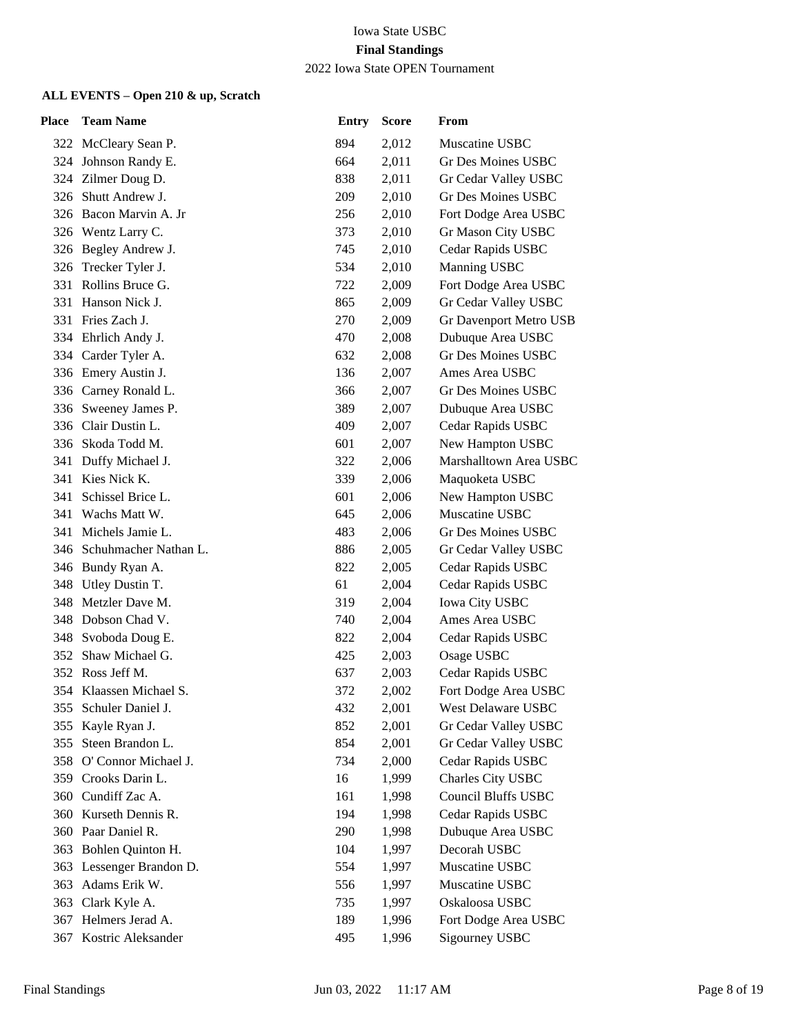#### 2022 Iowa State OPEN Tournament

| Place | <b>Team Name</b>          | <b>Entry</b> | <b>Score</b> | From                   |
|-------|---------------------------|--------------|--------------|------------------------|
|       | 322 McCleary Sean P.      | 894          | 2,012        | Muscatine USBC         |
|       | 324 Johnson Randy E.      | 664          | 2,011        | Gr Des Moines USBC     |
|       | 324 Zilmer Doug D.        | 838          | 2,011        | Gr Cedar Valley USBC   |
| 326   | Shutt Andrew J.           | 209          | 2,010        | Gr Des Moines USBC     |
|       | 326 Bacon Marvin A. Jr    | 256          | 2,010        | Fort Dodge Area USBC   |
|       | 326 Wentz Larry C.        | 373          | 2,010        | Gr Mason City USBC     |
|       | 326 Begley Andrew J.      | 745          | 2,010        | Cedar Rapids USBC      |
|       | 326 Trecker Tyler J.      | 534          | 2,010        | Manning USBC           |
|       | 331 Rollins Bruce G.      | 722          | 2,009        | Fort Dodge Area USBC   |
| 331   | Hanson Nick J.            | 865          | 2,009        | Gr Cedar Valley USBC   |
| 331   | Fries Zach J.             | 270          | 2,009        | Gr Davenport Metro USB |
|       | 334 Ehrlich Andy J.       | 470          | 2,008        | Dubuque Area USBC      |
|       | 334 Carder Tyler A.       | 632          | 2,008        | Gr Des Moines USBC     |
|       | 336 Emery Austin J.       | 136          | 2,007        | Ames Area USBC         |
| 336   | Carney Ronald L.          | 366          | 2,007        | Gr Des Moines USBC     |
|       | 336 Sweeney James P.      | 389          | 2,007        | Dubuque Area USBC      |
|       | 336 Clair Dustin L.       | 409          | 2,007        | Cedar Rapids USBC      |
| 336   | Skoda Todd M.             | 601          | 2,007        | New Hampton USBC       |
| 341   | Duffy Michael J.          | 322          | 2,006        | Marshalltown Area USBC |
| 341   | Kies Nick K.              | 339          | 2,006        | Maquoketa USBC         |
| 341   | Schissel Brice L.         | 601          | 2,006        | New Hampton USBC       |
| 341   | Wachs Matt W.             | 645          | 2,006        | Muscatine USBC         |
| 341   | Michels Jamie L.          | 483          | 2,006        | Gr Des Moines USBC     |
|       | 346 Schuhmacher Nathan L. | 886          | 2,005        | Gr Cedar Valley USBC   |
|       | 346 Bundy Ryan A.         | 822          | 2,005        | Cedar Rapids USBC      |
|       | 348 Utley Dustin T.       | 61           | 2,004        | Cedar Rapids USBC      |
| 348   | Metzler Dave M.           | 319          | 2,004        | <b>Iowa City USBC</b>  |
|       | 348 Dobson Chad V.        | 740          | 2,004        | Ames Area USBC         |
|       | 348 Svoboda Doug E.       | 822          | 2,004        | Cedar Rapids USBC      |
| 352   | Shaw Michael G.           | 425          | 2,003        | Osage USBC             |
| 352   | Ross Jeff M.              | 637          | 2,003        | Cedar Rapids USBC      |
|       | 354 Klaassen Michael S.   | 372          | 2,002        | Fort Dodge Area USBC   |
|       | 355 Schuler Daniel J.     | 432          | 2,001        | West Delaware USBC     |
| 355   | Kayle Ryan J.             | 852          | 2,001        | Gr Cedar Valley USBC   |
| 355   | Steen Brandon L.          | 854          | 2,001        | Gr Cedar Valley USBC   |
| 358   | O' Connor Michael J.      | 734          | 2,000        | Cedar Rapids USBC      |
|       | 359 Crooks Darin L.       | 16           | 1,999        | Charles City USBC      |
| 360   | Cundiff Zac A.            | 161          | 1,998        | Council Bluffs USBC    |
| 360   | Kurseth Dennis R.         | 194          | 1,998        | Cedar Rapids USBC      |
| 360   | Paar Daniel R.            | 290          | 1,998        | Dubuque Area USBC      |
| 363   | Bohlen Quinton H.         | 104          | 1,997        | Decorah USBC           |
| 363   | Lessenger Brandon D.      | 554          | 1,997        | Muscatine USBC         |
| 363   | Adams Erik W.             | 556          | 1,997        | Muscatine USBC         |
| 363   | Clark Kyle A.             | 735          | 1,997        | Oskaloosa USBC         |
| 367   | Helmers Jerad A.          | 189          | 1,996        | Fort Dodge Area USBC   |
| 367   | Kostric Aleksander        | 495          | 1,996        | Sigourney USBC         |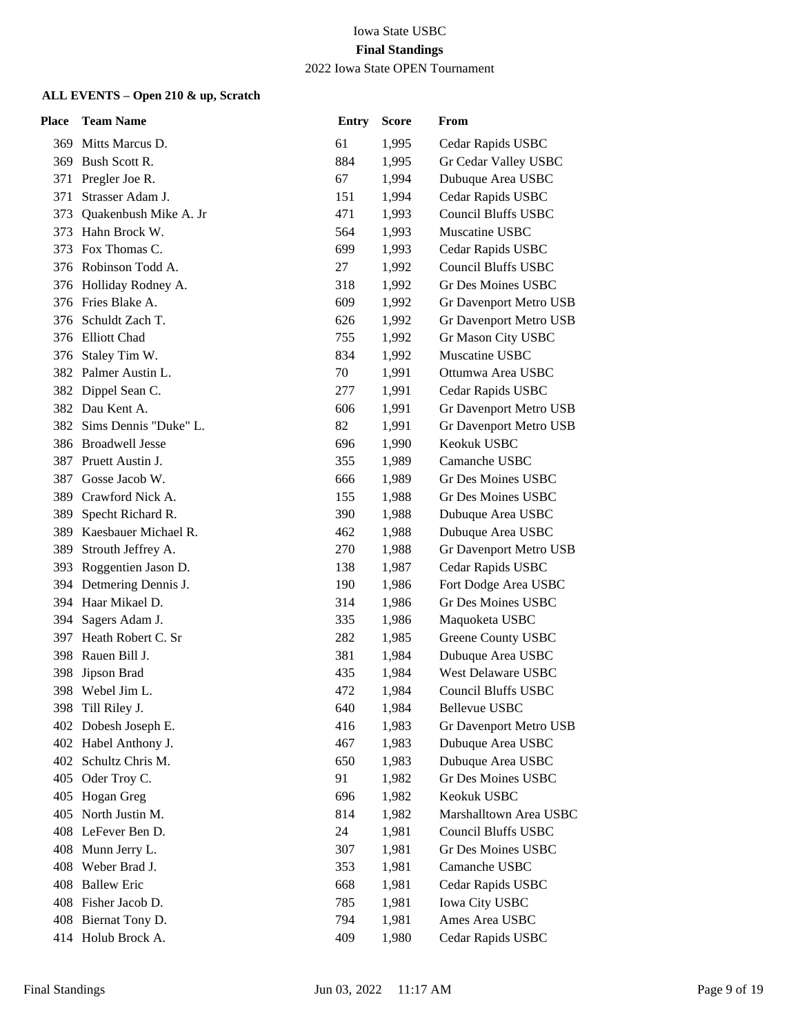### 2022 Iowa State OPEN Tournament

| Place | <b>Team Name</b>          | <b>Entry</b> | <b>Score</b> | From                       |
|-------|---------------------------|--------------|--------------|----------------------------|
|       | 369 Mitts Marcus D.       | 61           | 1,995        | Cedar Rapids USBC          |
|       | 369 Bush Scott R.         | 884          | 1,995        | Gr Cedar Valley USBC       |
| 371   | Pregler Joe R.            | 67           | 1,994        | Dubuque Area USBC          |
| 371   | Strasser Adam J.          | 151          | 1,994        | Cedar Rapids USBC          |
|       | 373 Quakenbush Mike A. Jr | 471          | 1,993        | <b>Council Bluffs USBC</b> |
| 373   | Hahn Brock W.             | 564          | 1,993        | Muscatine USBC             |
| 373   | Fox Thomas C.             | 699          | 1,993        | Cedar Rapids USBC          |
|       | 376 Robinson Todd A.      | 27           | 1,992        | <b>Council Bluffs USBC</b> |
|       | 376 Holliday Rodney A.    | 318          | 1,992        | Gr Des Moines USBC         |
|       | 376 Fries Blake A.        | 609          | 1,992        | Gr Davenport Metro USB     |
| 376   | Schuldt Zach T.           | 626          | 1,992        | Gr Davenport Metro USB     |
|       | 376 Elliott Chad          | 755          | 1,992        | Gr Mason City USBC         |
|       | 376 Staley Tim W.         | 834          | 1,992        | Muscatine USBC             |
|       | 382 Palmer Austin L.      | 70           | 1,991        | Ottumwa Area USBC          |
| 382   | Dippel Sean C.            | 277          | 1,991        | Cedar Rapids USBC          |
|       | 382 Dau Kent A.           | 606          | 1,991        | Gr Davenport Metro USB     |
|       | 382 Sims Dennis "Duke" L. | 82           | 1,991        | Gr Davenport Metro USB     |
|       | 386 Broadwell Jesse       | 696          | 1,990        | Keokuk USBC                |
| 387   | Pruett Austin J.          | 355          | 1,989        | Camanche USBC              |
| 387   | Gosse Jacob W.            | 666          | 1,989        | Gr Des Moines USBC         |
|       | 389 Crawford Nick A.      | 155          | 1,988        | Gr Des Moines USBC         |
| 389   | Specht Richard R.         | 390          | 1,988        | Dubuque Area USBC          |
| 389   | Kaesbauer Michael R.      | 462          | 1,988        | Dubuque Area USBC          |
| 389   | Strouth Jeffrey A.        | 270          | 1,988        | Gr Davenport Metro USB     |
|       | 393 Roggentien Jason D.   | 138          | 1,987        | Cedar Rapids USBC          |
|       | 394 Detmering Dennis J.   | 190          | 1,986        | Fort Dodge Area USBC       |
|       | 394 Haar Mikael D.        | 314          | 1,986        | Gr Des Moines USBC         |
| 394   | Sagers Adam J.            | 335          | 1,986        | Maquoketa USBC             |
|       | 397 Heath Robert C. Sr    | 282          | 1,985        | Greene County USBC         |
|       | 398 Rauen Bill J.         | 381          | 1,984        | Dubuque Area USBC          |
| 398   | Jipson Brad               | 435          | 1,984        | West Delaware USBC         |
|       | 398 Webel Jim L.          | 472          | 1,984        | <b>Council Bluffs USBC</b> |
|       | 398 Till Riley J.         | 640          | 1,984        | Bellevue USBC              |
|       | 402 Dobesh Joseph E.      | 416          | 1,983        | Gr Davenport Metro USB     |
|       | 402 Habel Anthony J.      | 467          | 1,983        | Dubuque Area USBC          |
| 402   | Schultz Chris M.          | 650          | 1,983        | Dubuque Area USBC          |
|       | 405 Oder Troy C.          | 91           | 1,982        | Gr Des Moines USBC         |
| 405   | Hogan Greg                | 696          | 1,982        | Keokuk USBC                |
| 405   | North Justin M.           | 814          | 1,982        | Marshalltown Area USBC     |
|       | 408 LeFever Ben D.        | 24           | 1,981        | <b>Council Bluffs USBC</b> |
|       | 408 Munn Jerry L.         | 307          | 1,981        | Gr Des Moines USBC         |
| 408   | Weber Brad J.             | 353          | 1,981        | Camanche USBC              |
| 408   | <b>Ballew Eric</b>        | 668          | 1,981        | Cedar Rapids USBC          |
|       | 408 Fisher Jacob D.       | 785          | 1,981        | <b>Iowa City USBC</b>      |
|       | 408 Biernat Tony D.       | 794          | 1,981        | Ames Area USBC             |
|       | 414 Holub Brock A.        | 409          | 1,980        | Cedar Rapids USBC          |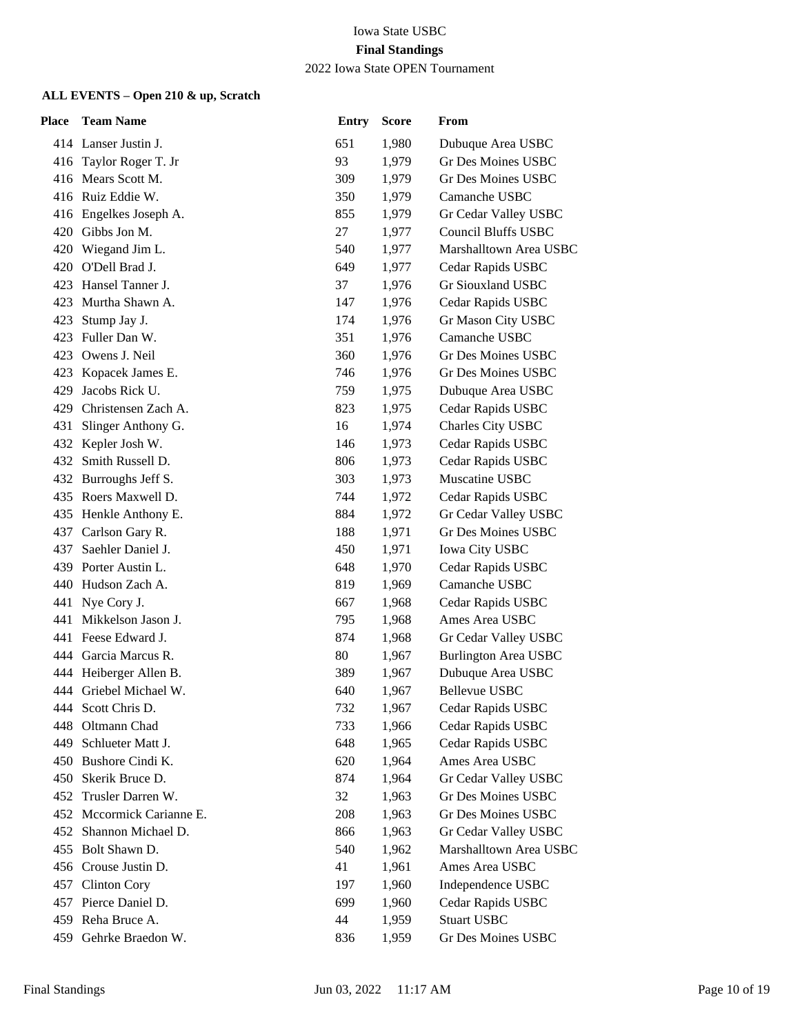2022 Iowa State OPEN Tournament

| Place | <b>Team Name</b>          | <b>Entry</b> | <b>Score</b> | From                        |
|-------|---------------------------|--------------|--------------|-----------------------------|
|       | 414 Lanser Justin J.      | 651          | 1,980        | Dubuque Area USBC           |
|       | 416 Taylor Roger T. Jr    | 93           | 1,979        | Gr Des Moines USBC          |
|       | 416 Mears Scott M.        | 309          | 1,979        | Gr Des Moines USBC          |
|       | 416 Ruiz Eddie W.         | 350          | 1,979        | Camanche USBC               |
|       | 416 Engelkes Joseph A.    | 855          | 1,979        | Gr Cedar Valley USBC        |
| 420   | Gibbs Jon M.              | 27           | 1,977        | <b>Council Bluffs USBC</b>  |
| 420   | Wiegand Jim L.            | 540          | 1,977        | Marshalltown Area USBC      |
| 420   | O'Dell Brad J.            | 649          | 1,977        | Cedar Rapids USBC           |
|       | 423 Hansel Tanner J.      | 37           | 1,976        | Gr Siouxland USBC           |
|       | 423 Murtha Shawn A.       | 147          | 1,976        | Cedar Rapids USBC           |
| 423   | Stump Jay J.              | 174          | 1,976        | Gr Mason City USBC          |
| 423   | Fuller Dan W.             | 351          | 1,976        | Camanche USBC               |
|       | 423 Owens J. Neil         | 360          | 1,976        | Gr Des Moines USBC          |
| 423   | Kopacek James E.          | 746          | 1,976        | Gr Des Moines USBC          |
| 429   | Jacobs Rick U.            | 759          | 1,975        | Dubuque Area USBC           |
|       | 429 Christensen Zach A.   | 823          | 1,975        | Cedar Rapids USBC           |
|       | 431 Slinger Anthony G.    | 16           | 1,974        | Charles City USBC           |
|       | 432 Kepler Josh W.        | 146          | 1,973        | Cedar Rapids USBC           |
| 432   | Smith Russell D.          | 806          | 1,973        | Cedar Rapids USBC           |
|       | 432 Burroughs Jeff S.     | 303          | 1,973        | Muscatine USBC              |
|       | 435 Roers Maxwell D.      | 744          | 1,972        | Cedar Rapids USBC           |
|       | 435 Henkle Anthony E.     | 884          | 1,972        | Gr Cedar Valley USBC        |
| 437   | Carlson Gary R.           | 188          | 1,971        | Gr Des Moines USBC          |
| 437   | Saehler Daniel J.         | 450          | 1,971        | <b>Iowa City USBC</b>       |
|       | 439 Porter Austin L.      | 648          | 1,970        | Cedar Rapids USBC           |
| 440   | Hudson Zach A.            | 819          | 1,969        | Camanche USBC               |
| 441   | Nye Cory J.               | 667          | 1,968        | Cedar Rapids USBC           |
|       | 441 Mikkelson Jason J.    | 795          | 1,968        | Ames Area USBC              |
|       | 441 Feese Edward J.       | 874          | 1,968        | Gr Cedar Valley USBC        |
|       | 444 Garcia Marcus R.      | 80           | 1,967        | <b>Burlington Area USBC</b> |
|       | 444 Heiberger Allen B.    | 389          | 1,967        | Dubuque Area USBC           |
|       | 444 Griebel Michael W.    | 640          | 1,967        | Bellevue USBC               |
|       | 444 Scott Chris D.        | 732          | 1,967        | Cedar Rapids USBC           |
| 448   | Oltmann Chad              | 733          | 1,966        | Cedar Rapids USBC           |
| 449   | Schlueter Matt J.         | 648          | 1,965        | Cedar Rapids USBC           |
|       | 450 Bushore Cindi K.      | 620          | 1,964        | Ames Area USBC              |
|       | 450 Skerik Bruce D.       | 874          | 1,964        | Gr Cedar Valley USBC        |
| 452   | Trusler Darren W.         | 32           | 1,963        | Gr Des Moines USBC          |
|       | 452 Mccormick Carianne E. | 208          | 1,963        | Gr Des Moines USBC          |
| 452   | Shannon Michael D.        | 866          | 1,963        | Gr Cedar Valley USBC        |
| 455   | Bolt Shawn D.             | 540          | 1,962        | Marshalltown Area USBC      |
| 456   | Crouse Justin D.          | 41           | 1,961        | Ames Area USBC              |
| 457   | <b>Clinton Cory</b>       | 197          | 1,960        | Independence USBC           |
| 457   | Pierce Daniel D.          | 699          | 1,960        | Cedar Rapids USBC           |
| 459   | Reha Bruce A.             | 44           | 1,959        | <b>Stuart USBC</b>          |
| 459   | Gehrke Braedon W.         | 836          | 1,959        | Gr Des Moines USBC          |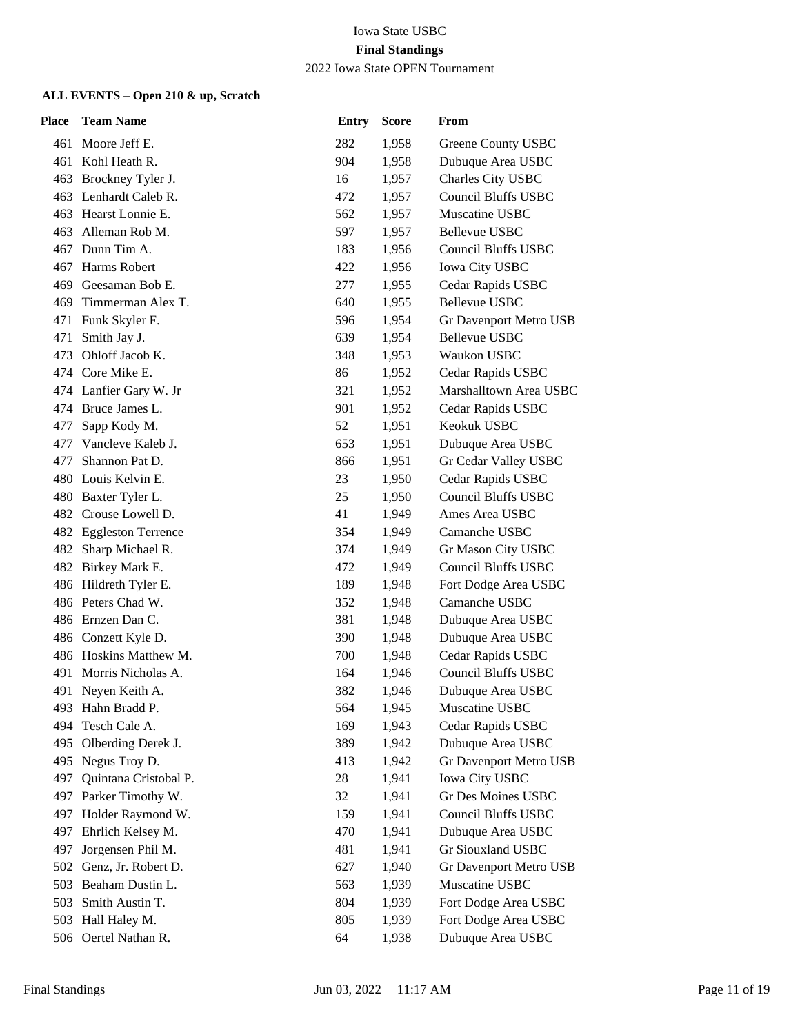2022 Iowa State OPEN Tournament

| Place | <b>Team Name</b>                   | <b>Entry</b> | <b>Score</b>   | From                                            |
|-------|------------------------------------|--------------|----------------|-------------------------------------------------|
|       | 461 Moore Jeff E.                  | 282          | 1,958          | Greene County USBC                              |
|       | 461 Kohl Heath R.                  | 904          | 1,958          | Dubuque Area USBC                               |
|       | 463 Brockney Tyler J.              | 16           | 1,957          | Charles City USBC                               |
|       | 463 Lenhardt Caleb R.              | 472          | 1,957          | <b>Council Bluffs USBC</b>                      |
|       | 463 Hearst Lonnie E.               | 562          | 1,957          | Muscatine USBC                                  |
|       | 463 Alleman Rob M.                 | 597          | 1,957          | Bellevue USBC                                   |
|       | 467 Dunn Tim A.                    | 183          | 1,956          | <b>Council Bluffs USBC</b>                      |
|       | 467 Harms Robert                   | 422          | 1,956          | Iowa City USBC                                  |
|       | 469 Geesaman Bob E.                | 277          | 1,955          | Cedar Rapids USBC                               |
|       | 469 Timmerman Alex T.              | 640          | 1,955          | <b>Bellevue USBC</b>                            |
|       | 471 Funk Skyler F.                 | 596          | 1,954          | Gr Davenport Metro USB                          |
| 471   | Smith Jay J.                       | 639          | 1,954          | <b>Bellevue USBC</b>                            |
|       | 473 Ohloff Jacob K.                | 348          | 1,953          | Waukon USBC                                     |
|       | 474 Core Mike E.                   | 86           | 1,952          | Cedar Rapids USBC                               |
|       | 474 Lanfier Gary W. Jr             | 321          | 1,952          | Marshalltown Area USBC                          |
|       | 474 Bruce James L.                 | 901          | 1,952          | Cedar Rapids USBC                               |
|       | 477 Sapp Kody M.                   | 52           | 1,951          | Keokuk USBC                                     |
|       | 477 Vancleve Kaleb J.              | 653          | 1,951          | Dubuque Area USBC                               |
| 477   | Shannon Pat D.                     | 866          | 1,951          | Gr Cedar Valley USBC                            |
|       | 480 Louis Kelvin E.                | 23           | 1,950          | Cedar Rapids USBC                               |
|       | 480 Baxter Tyler L.                | 25           | 1,950          | <b>Council Bluffs USBC</b>                      |
|       | 482 Crouse Lowell D.               | 41           | 1,949          | Ames Area USBC                                  |
|       | 482 Eggleston Terrence             | 354          | 1,949          | Camanche USBC                                   |
|       | 482 Sharp Michael R.               | 374          | 1,949          | Gr Mason City USBC                              |
|       | 482 Birkey Mark E.                 | 472          | 1,949          | <b>Council Bluffs USBC</b>                      |
|       | 486 Hildreth Tyler E.              | 189          | 1,948          | Fort Dodge Area USBC                            |
|       | 486 Peters Chad W.                 | 352          | 1,948          | Camanche USBC                                   |
|       | 486 Ernzen Dan C.                  | 381          | 1,948          | Dubuque Area USBC                               |
|       | 486 Conzett Kyle D.                | 390          | 1,948          | Dubuque Area USBC                               |
|       | 486 Hoskins Matthew M.             | 700          | 1,948          | Cedar Rapids USBC<br><b>Council Bluffs USBC</b> |
|       | 491 Morris Nicholas A.             | 164          | 1,946          |                                                 |
|       | 491 Neyen Keith A.                 | 382          | 1,946<br>1,945 | Dubuque Area USBC                               |
| 494   | 493 Hahn Bradd P.<br>Tesch Cale A. | 564<br>169   |                | Muscatine USBC<br>Cedar Rapids USBC             |
| 495   | Olberding Derek J.                 | 389          | 1,943<br>1,942 | Dubuque Area USBC                               |
| 495   | Negus Troy D.                      | 413          | 1,942          | Gr Davenport Metro USB                          |
| 497   | Quintana Cristobal P.              | 28           | 1,941          | <b>Iowa City USBC</b>                           |
|       | 497 Parker Timothy W.              | 32           | 1,941          | <b>Gr Des Moines USBC</b>                       |
| 497   | Holder Raymond W.                  | 159          | 1,941          | <b>Council Bluffs USBC</b>                      |
| 497   | Ehrlich Kelsey M.                  | 470          | 1,941          | Dubuque Area USBC                               |
| 497   | Jorgensen Phil M.                  | 481          | 1,941          | Gr Siouxland USBC                               |
| 502   | Genz, Jr. Robert D.                | 627          | 1,940          | Gr Davenport Metro USB                          |
| 503   | Beaham Dustin L.                   | 563          | 1,939          | Muscatine USBC                                  |
| 503   | Smith Austin T.                    | 804          | 1,939          | Fort Dodge Area USBC                            |
|       | 503 Hall Haley M.                  | 805          | 1,939          | Fort Dodge Area USBC                            |
|       | 506 Oertel Nathan R.               | 64           | 1,938          | Dubuque Area USBC                               |
|       |                                    |              |                |                                                 |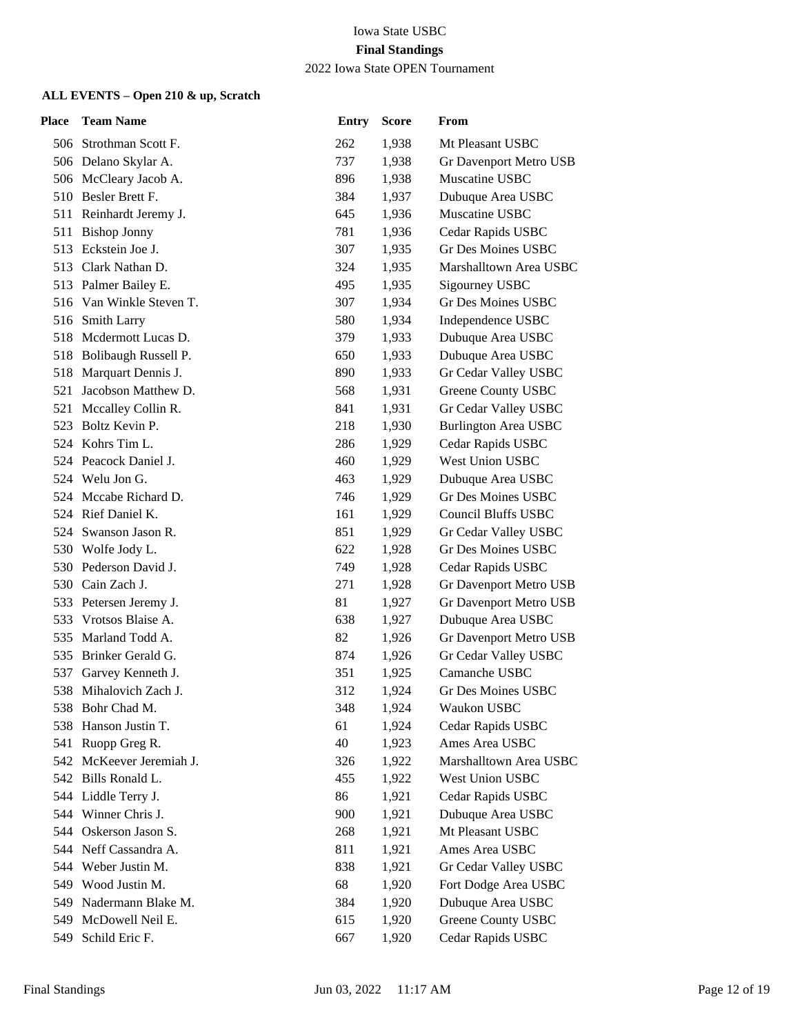| Place | <b>Team Name</b>         | <b>Entry</b> | <b>Score</b> | From                        |
|-------|--------------------------|--------------|--------------|-----------------------------|
|       | 506 Strothman Scott F.   | 262          | 1,938        | Mt Pleasant USBC            |
|       | 506 Delano Skylar A.     | 737          | 1,938        | Gr Davenport Metro USB      |
|       | 506 McCleary Jacob A.    | 896          | 1,938        | Muscatine USBC              |
|       | 510 Besler Brett F.      | 384          | 1,937        | Dubuque Area USBC           |
|       | 511 Reinhardt Jeremy J.  | 645          | 1,936        | Muscatine USBC              |
| 511   | <b>Bishop Jonny</b>      | 781          | 1,936        | Cedar Rapids USBC           |
| 513   | Eckstein Joe J.          | 307          | 1,935        | <b>Gr Des Moines USBC</b>   |
|       | 513 Clark Nathan D.      | 324          | 1,935        | Marshalltown Area USBC      |
|       | 513 Palmer Bailey E.     | 495          | 1,935        | Sigourney USBC              |
|       | 516 Van Winkle Steven T. | 307          | 1,934        | <b>Gr Des Moines USBC</b>   |
|       | 516 Smith Larry          | 580          | 1,934        | Independence USBC           |
|       | 518 Mcdermott Lucas D.   | 379          | 1,933        | Dubuque Area USBC           |
|       | 518 Bolibaugh Russell P. | 650          | 1,933        | Dubuque Area USBC           |
| 518   | Marquart Dennis J.       | 890          | 1,933        | Gr Cedar Valley USBC        |
| 521   | Jacobson Matthew D.      | 568          | 1,931        | Greene County USBC          |
|       | 521 Mccalley Collin R.   | 841          | 1,931        | Gr Cedar Valley USBC        |
|       | 523 Boltz Kevin P.       | 218          | 1,930        | <b>Burlington Area USBC</b> |
|       | 524 Kohrs Tim L.         | 286          | 1,929        | Cedar Rapids USBC           |
|       | 524 Peacock Daniel J.    | 460          | 1,929        | West Union USBC             |
|       | 524 Welu Jon G.          | 463          | 1,929        | Dubuque Area USBC           |
|       | 524 Mccabe Richard D.    | 746          | 1,929        | Gr Des Moines USBC          |
|       | 524 Rief Daniel K.       | 161          | 1,929        | <b>Council Bluffs USBC</b>  |
|       | 524 Swanson Jason R.     | 851          | 1,929        | Gr Cedar Valley USBC        |
|       | 530 Wolfe Jody L.        | 622          | 1,928        | Gr Des Moines USBC          |
|       | 530 Pederson David J.    | 749          | 1,928        | Cedar Rapids USBC           |
|       | 530 Cain Zach J.         | 271          | 1,928        | Gr Davenport Metro USB      |
|       | 533 Petersen Jeremy J.   | 81           | 1,927        | Gr Davenport Metro USB      |
| 533   | Vrotsos Blaise A.        | 638          | 1,927        | Dubuque Area USBC           |
|       | 535 Marland Todd A.      | 82           | 1,926        | Gr Davenport Metro USB      |
| 535   | Brinker Gerald G.        | 874          | 1,926        | Gr Cedar Valley USBC        |
| 537   | Garvey Kenneth J.        | 351          | 1,925        | Camanche USBC               |
|       | 538 Mihalovich Zach J.   | 312          | 1,924        | <b>Gr Des Moines USBC</b>   |
|       | 538 Bohr Chad M.         | 348          | 1,924        | Waukon USBC                 |
| 538   | Hanson Justin T.         | 61           | 1,924        | Cedar Rapids USBC           |
| 541   | Ruopp Greg R.            | 40           | 1,923        | Ames Area USBC              |
| 542   | McKeever Jeremiah J.     | 326          | 1,922        | Marshalltown Area USBC      |
|       | 542 Bills Ronald L.      | 455          | 1,922        | West Union USBC             |
|       | 544 Liddle Terry J.      | 86           | 1,921        | Cedar Rapids USBC           |
|       | 544 Winner Chris J.      | 900          | 1,921        | Dubuque Area USBC           |
| 544   | Oskerson Jason S.        | 268          | 1,921        | Mt Pleasant USBC            |
|       | 544 Neff Cassandra A.    | 811          | 1,921        | Ames Area USBC              |
|       | 544 Weber Justin M.      | 838          | 1,921        | Gr Cedar Valley USBC        |
|       | 549 Wood Justin M.       | 68           | 1,920        | Fort Dodge Area USBC        |
|       | 549 Nadermann Blake M.   | 384          | 1,920        | Dubuque Area USBC           |
|       | 549 McDowell Neil E.     | 615          | 1,920        | Greene County USBC          |
| 549   | Schild Eric F.           | 667          | 1,920        | Cedar Rapids USBC           |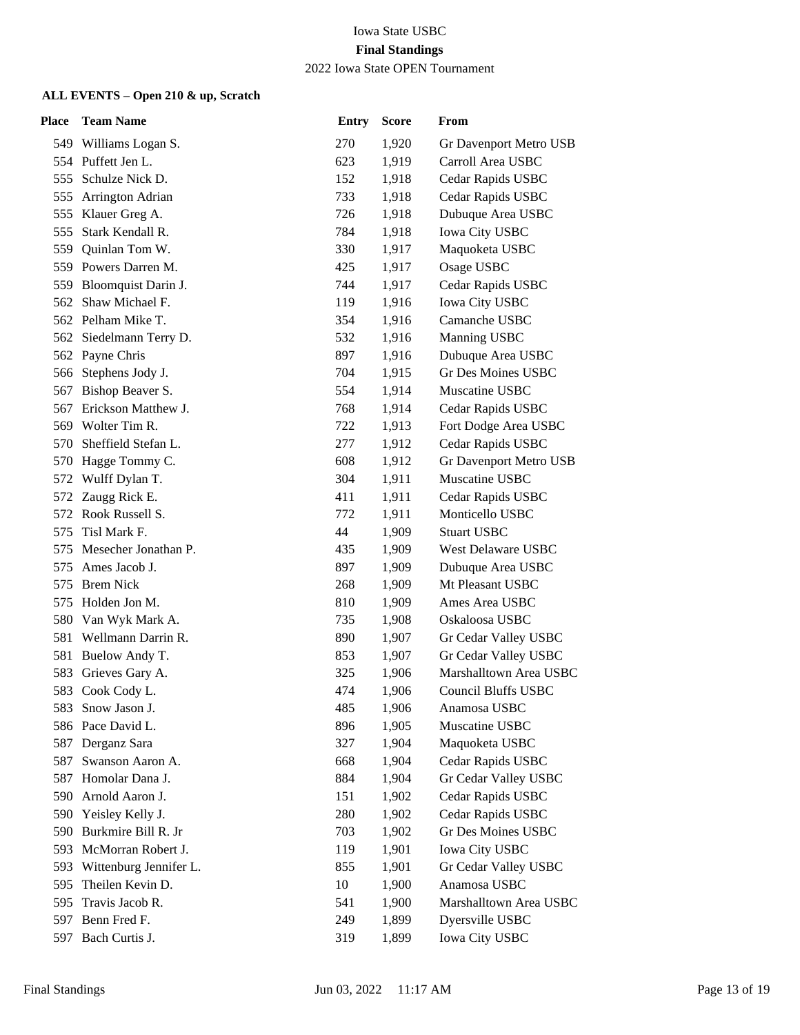2022 Iowa State OPEN Tournament

| Place | <b>Team Name</b>        | <b>Entry</b> | Score | From                       |
|-------|-------------------------|--------------|-------|----------------------------|
|       | 549 Williams Logan S.   | 270          | 1,920 | Gr Davenport Metro USB     |
|       | 554 Puffett Jen L.      | 623          | 1,919 | Carroll Area USBC          |
| 555   | Schulze Nick D.         | 152          | 1,918 | Cedar Rapids USBC          |
|       | 555 Arrington Adrian    | 733          | 1,918 | Cedar Rapids USBC          |
|       | 555 Klauer Greg A.      | 726          | 1,918 | Dubuque Area USBC          |
| 555   | Stark Kendall R.        | 784          | 1,918 | Iowa City USBC             |
| 559   | Quinlan Tom W.          | 330          | 1,917 | Maquoketa USBC             |
|       | 559 Powers Darren M.    | 425          | 1,917 | Osage USBC                 |
|       | 559 Bloomquist Darin J. | 744          | 1,917 | Cedar Rapids USBC          |
| 562   | Shaw Michael F.         | 119          | 1,916 | Iowa City USBC             |
|       | 562 Pelham Mike T.      | 354          | 1,916 | Camanche USBC              |
|       | 562 Siedelmann Terry D. | 532          | 1,916 | Manning USBC               |
|       | 562 Payne Chris         | 897          | 1,916 | Dubuque Area USBC          |
|       | 566 Stephens Jody J.    | 704          | 1,915 | <b>Gr Des Moines USBC</b>  |
| 567   | Bishop Beaver S.        | 554          | 1,914 | Muscatine USBC             |
|       | 567 Erickson Matthew J. | 768          | 1,914 | Cedar Rapids USBC          |
|       | 569 Wolter Tim R.       | 722          | 1,913 | Fort Dodge Area USBC       |
| 570   | Sheffield Stefan L.     | 277          | 1,912 | Cedar Rapids USBC          |
| 570   | Hagge Tommy C.          | 608          | 1,912 | Gr Davenport Metro USB     |
| 572   | Wulff Dylan T.          | 304          | 1,911 | Muscatine USBC             |
| 572   | Zaugg Rick E.           | 411          | 1,911 | Cedar Rapids USBC          |
|       | 572 Rook Russell S.     | 772          | 1,911 | Monticello USBC            |
| 575   | Tisl Mark F.            | 44           | 1,909 | <b>Stuart USBC</b>         |
| 575   | Mesecher Jonathan P.    | 435          | 1,909 | West Delaware USBC         |
| 575   | Ames Jacob J.           | 897          | 1,909 | Dubuque Area USBC          |
| 575   | <b>Brem Nick</b>        | 268          | 1,909 | Mt Pleasant USBC           |
|       | 575 Holden Jon M.       | 810          | 1,909 | Ames Area USBC             |
|       | 580 Van Wyk Mark A.     | 735          | 1,908 | Oskaloosa USBC             |
|       | 581 Wellmann Darrin R.  | 890          | 1,907 | Gr Cedar Valley USBC       |
|       | 581 Buelow Andy T.      | 853          | 1,907 | Gr Cedar Valley USBC       |
| 583   | Grieves Gary A.         | 325          | 1,906 | Marshalltown Area USBC     |
| 583   | Cook Cody L.            | 474          | 1,906 | <b>Council Bluffs USBC</b> |
| 583.  | Snow Jason J.           | 485          | 1,906 | Anamosa USBC               |
|       | 586 Pace David L.       | 896          | 1,905 | Muscatine USBC             |
| 587   | Derganz Sara            | 327          | 1,904 | Maquoketa USBC             |
| 587   | Swanson Aaron A.        | 668          | 1,904 | Cedar Rapids USBC          |
|       | 587 Homolar Dana J.     | 884          | 1,904 | Gr Cedar Valley USBC       |
| 590   | Arnold Aaron J.         | 151          | 1,902 | Cedar Rapids USBC          |
| 590   | Yeisley Kelly J.        | 280          | 1,902 | Cedar Rapids USBC          |
| 590   | Burkmire Bill R. Jr     | 703          | 1,902 | Gr Des Moines USBC         |
| 593   | McMorran Robert J.      | 119          | 1,901 | <b>Iowa City USBC</b>      |
| 593   | Wittenburg Jennifer L.  | 855          | 1,901 | Gr Cedar Valley USBC       |
| 595   | Theilen Kevin D.        | 10           | 1,900 | Anamosa USBC               |
| 595   | Travis Jacob R.         | 541          | 1,900 | Marshalltown Area USBC     |
| 597   | Benn Fred F.            | 249          | 1,899 | Dyersville USBC            |
| 597   | Bach Curtis J.          | 319          | 1,899 | Iowa City USBC             |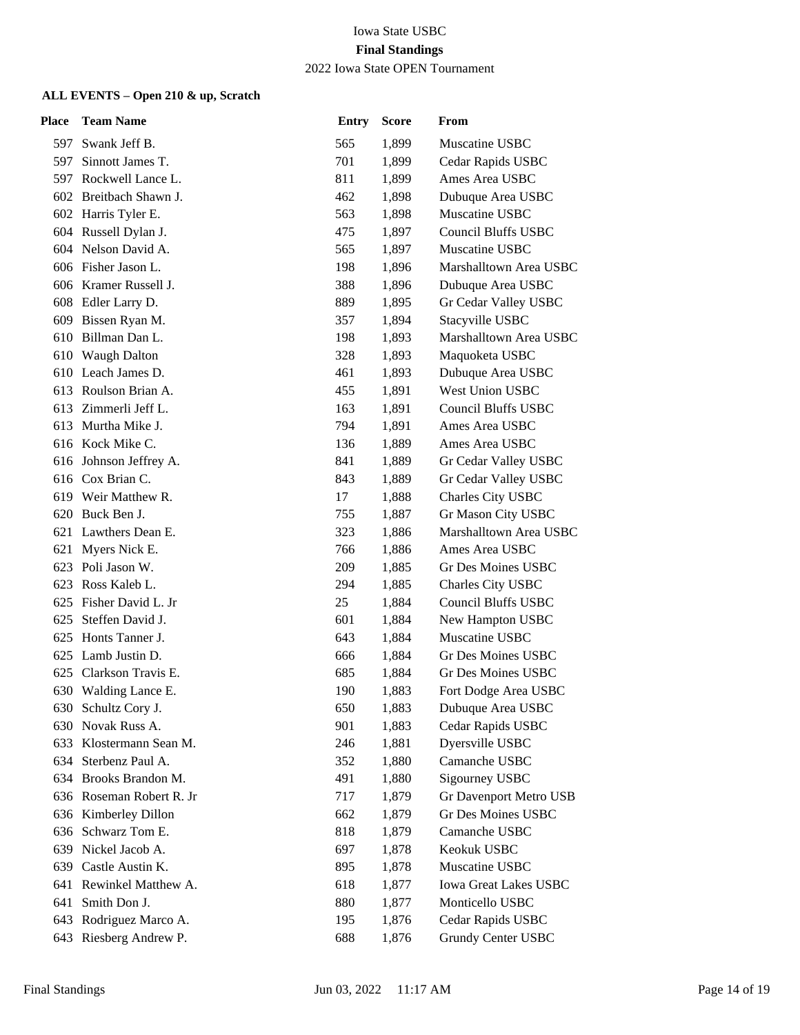#### 2022 Iowa State OPEN Tournament

| Place | <b>Team Name</b>         | <b>Entry</b> | <b>Score</b> | From                         |
|-------|--------------------------|--------------|--------------|------------------------------|
|       | 597 Swank Jeff B.        | 565          | 1,899        | Muscatine USBC               |
|       | 597 Sinnott James T.     | 701          | 1,899        | Cedar Rapids USBC            |
|       | 597 Rockwell Lance L.    | 811          | 1,899        | Ames Area USBC               |
|       | 602 Breitbach Shawn J.   | 462          | 1,898        | Dubuque Area USBC            |
|       | 602 Harris Tyler E.      | 563          | 1,898        | Muscatine USBC               |
|       | 604 Russell Dylan J.     | 475          | 1,897        | <b>Council Bluffs USBC</b>   |
|       | 604 Nelson David A.      | 565          | 1,897        | Muscatine USBC               |
|       | 606 Fisher Jason L.      | 198          | 1,896        | Marshalltown Area USBC       |
|       | 606 Kramer Russell J.    | 388          | 1,896        | Dubuque Area USBC            |
|       | 608 Edler Larry D.       | 889          | 1,895        | Gr Cedar Valley USBC         |
|       | 609 Bissen Ryan M.       | 357          | 1,894        | Stacyville USBC              |
|       | 610 Billman Dan L.       | 198          | 1,893        | Marshalltown Area USBC       |
|       | 610 Waugh Dalton         | 328          | 1,893        | Maquoketa USBC               |
|       | 610 Leach James D.       | 461          | 1,893        | Dubuque Area USBC            |
|       | 613 Roulson Brian A.     | 455          | 1,891        | <b>West Union USBC</b>       |
|       | 613 Zimmerli Jeff L.     | 163          | 1,891        | <b>Council Bluffs USBC</b>   |
|       | 613 Murtha Mike J.       | 794          | 1,891        | Ames Area USBC               |
|       | 616 Kock Mike C.         | 136          | 1,889        | Ames Area USBC               |
|       | 616 Johnson Jeffrey A.   | 841          | 1,889        | Gr Cedar Valley USBC         |
|       | 616 Cox Brian C.         | 843          | 1,889        | Gr Cedar Valley USBC         |
|       | 619 Weir Matthew R.      | 17           | 1,888        | Charles City USBC            |
|       | 620 Buck Ben J.          | 755          | 1,887        | Gr Mason City USBC           |
|       | 621 Lawthers Dean E.     | 323          | 1,886        | Marshalltown Area USBC       |
|       | 621 Myers Nick E.        | 766          | 1,886        | Ames Area USBC               |
|       | 623 Poli Jason W.        | 209          | 1,885        | Gr Des Moines USBC           |
| 623   | Ross Kaleb L.            | 294          | 1,885        | Charles City USBC            |
|       | 625 Fisher David L. Jr   | 25           | 1,884        | <b>Council Bluffs USBC</b>   |
|       | 625 Steffen David J.     | 601          | 1,884        | New Hampton USBC             |
|       | 625 Honts Tanner J.      | 643          | 1,884        | Muscatine USBC               |
|       | 625 Lamb Justin D.       | 666          | 1,884        | Gr Des Moines USBC           |
| 625   | Clarkson Travis E.       | 685          | 1,884        | Gr Des Moines USBC           |
|       | 630 Walding Lance E.     | 190          | 1,883        | Fort Dodge Area USBC         |
|       | 630 Schultz Cory J.      | 650          | 1,883        | Dubuque Area USBC            |
| 630   | Novak Russ A.            | 901          | 1,883        | Cedar Rapids USBC            |
| 633   | Klostermann Sean M.      | 246          | 1,881        | Dyersville USBC              |
|       | 634 Sterbenz Paul A.     | 352          | 1,880        | Camanche USBC                |
|       | 634 Brooks Brandon M.    | 491          | 1,880        | Sigourney USBC               |
|       | 636 Roseman Robert R. Jr | 717          | 1,879        | Gr Davenport Metro USB       |
| 636   | Kimberley Dillon         | 662          | 1,879        | Gr Des Moines USBC           |
| 636   | Schwarz Tom E.           | 818          | 1,879        | Camanche USBC                |
| 639   | Nickel Jacob A.          | 697          | 1,878        | Keokuk USBC                  |
| 639   | Castle Austin K.         | 895          | 1,878        | Muscatine USBC               |
| 641   | Rewinkel Matthew A.      | 618          | 1,877        | <b>Iowa Great Lakes USBC</b> |
| 641   | Smith Don J.             | 880          | 1,877        | Monticello USBC              |
| 643   | Rodriguez Marco A.       | 195          | 1,876        | Cedar Rapids USBC            |
| 643   | Riesberg Andrew P.       | 688          | 1,876        | <b>Grundy Center USBC</b>    |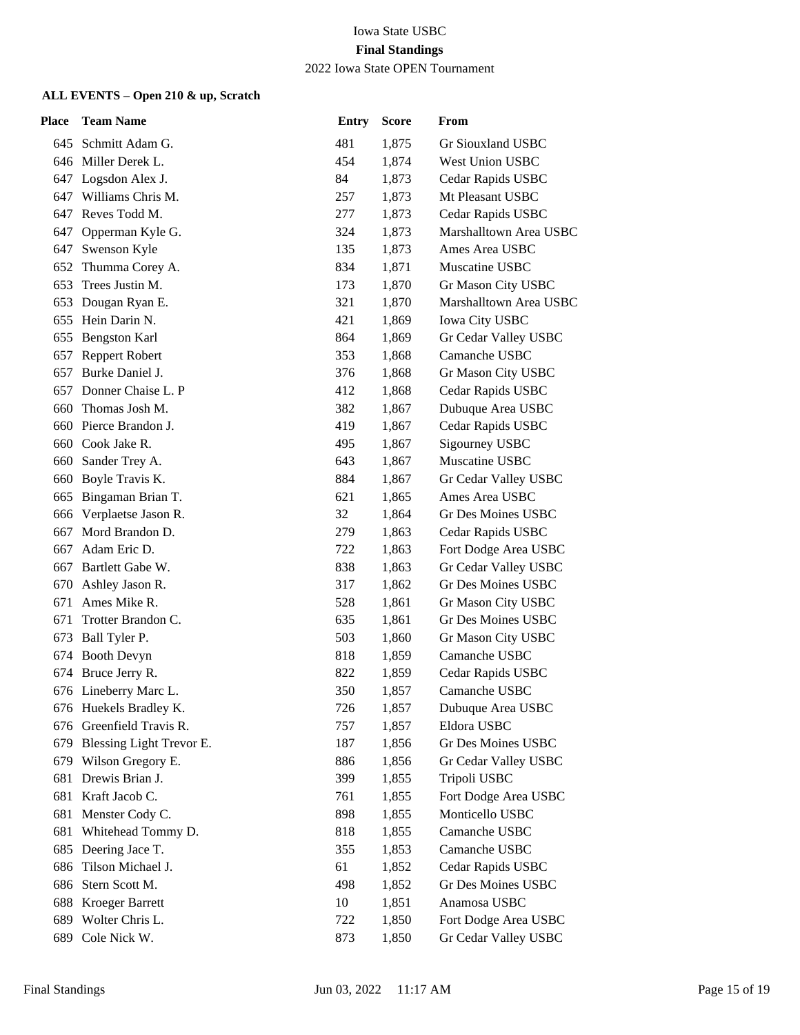#### 2022 Iowa State OPEN Tournament

| Place | <b>Team Name</b>         | <b>Entry</b> | <b>Score</b> | From                      |
|-------|--------------------------|--------------|--------------|---------------------------|
|       | 645 Schmitt Adam G.      | 481          | 1,875        | Gr Siouxland USBC         |
|       | 646 Miller Derek L.      | 454          | 1,874        | West Union USBC           |
|       | 647 Logsdon Alex J.      | 84           | 1,873        | Cedar Rapids USBC         |
| 647   | Williams Chris M.        | 257          | 1,873        | Mt Pleasant USBC          |
|       | 647 Reves Todd M.        | 277          | 1,873        | Cedar Rapids USBC         |
| 647   | Opperman Kyle G.         | 324          | 1,873        | Marshalltown Area USBC    |
| 647   | Swenson Kyle             | 135          | 1,873        | Ames Area USBC            |
|       | 652 Thumma Corey A.      | 834          | 1,871        | Muscatine USBC            |
|       | 653 Trees Justin M.      | 173          | 1,870        | Gr Mason City USBC        |
| 653   | Dougan Ryan E.           | 321          | 1,870        | Marshalltown Area USBC    |
| 655   | Hein Darin N.            | 421          | 1,869        | <b>Iowa City USBC</b>     |
|       | 655 Bengston Karl        | 864          | 1,869        | Gr Cedar Valley USBC      |
| 657   | Reppert Robert           | 353          | 1,868        | Camanche USBC             |
| 657   | Burke Daniel J.          | 376          | 1,868        | Gr Mason City USBC        |
| 657   | Donner Chaise L. P       | 412          | 1,868        | Cedar Rapids USBC         |
| 660   | Thomas Josh M.           | 382          | 1,867        | Dubuque Area USBC         |
| 660   | Pierce Brandon J.        | 419          | 1,867        | Cedar Rapids USBC         |
| 660   | Cook Jake R.             | 495          | 1,867        | Sigourney USBC            |
| 660   | Sander Trey A.           | 643          | 1,867        | Muscatine USBC            |
| 660   | Boyle Travis K.          | 884          | 1,867        | Gr Cedar Valley USBC      |
| 665   | Bingaman Brian T.        | 621          | 1,865        | Ames Area USBC            |
| 666   | Verplaetse Jason R.      | 32           | 1,864        | Gr Des Moines USBC        |
| 667   | Mord Brandon D.          | 279          | 1,863        | Cedar Rapids USBC         |
| 667   | Adam Eric D.             | 722          | 1,863        | Fort Dodge Area USBC      |
|       | 667 Bartlett Gabe W.     | 838          | 1,863        | Gr Cedar Valley USBC      |
| 670   | Ashley Jason R.          | 317          | 1,862        | <b>Gr Des Moines USBC</b> |
| 671   | Ames Mike R.             | 528          | 1,861        | Gr Mason City USBC        |
| 671   | Trotter Brandon C.       | 635          | 1,861        | <b>Gr Des Moines USBC</b> |
| 673   | Ball Tyler P.            | 503          | 1,860        | Gr Mason City USBC        |
| 674   | <b>Booth Devyn</b>       | 818          | 1,859        | Camanche USBC             |
|       | 674 Bruce Jerry R.       | 822          | 1,859        | Cedar Rapids USBC         |
|       | 676 Lineberry Marc L.    | 350          | 1,857        | Camanche USBC             |
|       | 676 Huekels Bradley K.   | 726          | 1,857        | Dubuque Area USBC         |
| 676   | Greenfield Travis R.     | 757          | 1,857        | Eldora USBC               |
| 679   | Blessing Light Trevor E. | 187          | 1,856        | Gr Des Moines USBC        |
|       | 679 Wilson Gregory E.    | 886          | 1,856        | Gr Cedar Valley USBC      |
| 681   | Drewis Brian J.          | 399          | 1,855        | Tripoli USBC              |
| 681   | Kraft Jacob C.           | 761          | 1,855        | Fort Dodge Area USBC      |
| 681   | Menster Cody C.          | 898          | 1,855        | Monticello USBC           |
| 681   | Whitehead Tommy D.       | 818          | 1,855        | Camanche USBC             |
| 685   | Deering Jace T.          | 355          | 1,853        | Camanche USBC             |
| 686   | Tilson Michael J.        | 61           | 1,852        | Cedar Rapids USBC         |
| 686   | Stern Scott M.           | 498          | 1,852        | Gr Des Moines USBC        |
| 688   | <b>Kroeger Barrett</b>   | 10           | 1,851        | Anamosa USBC              |
| 689   | Wolter Chris L.          | 722          | 1,850        | Fort Dodge Area USBC      |
| 689   | Cole Nick W.             | 873          | 1,850        | Gr Cedar Valley USBC      |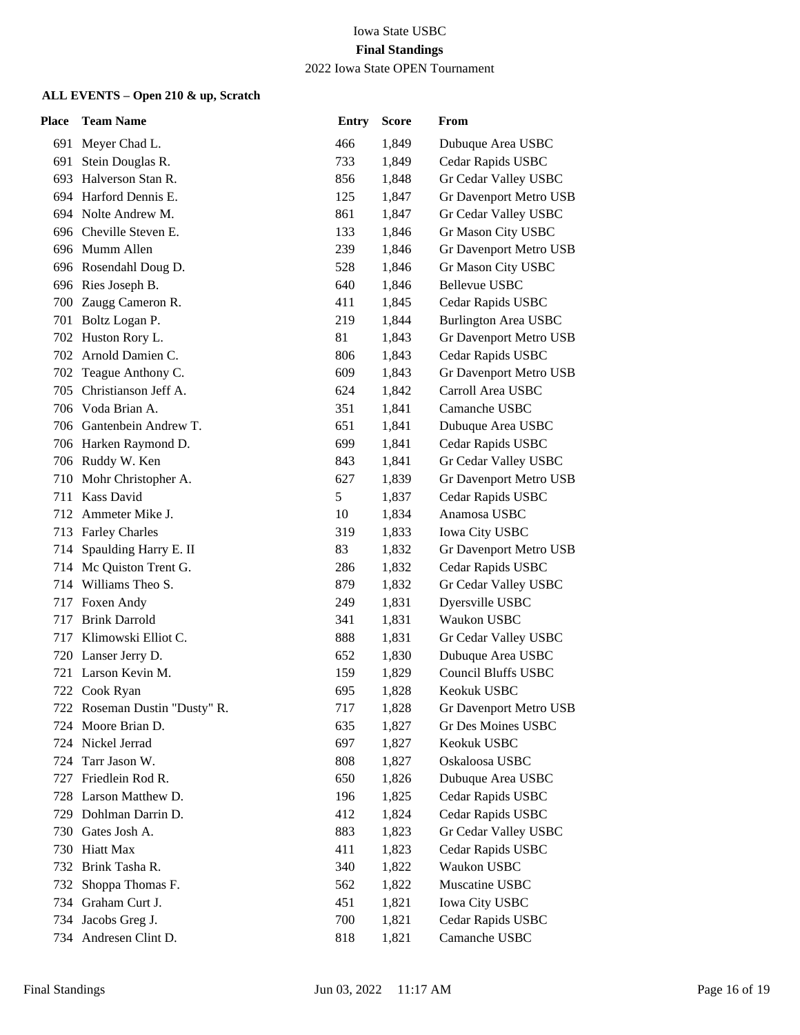2022 Iowa State OPEN Tournament

| Place | <b>Team Name</b>              | <b>Entry</b> | <b>Score</b> | From                        |
|-------|-------------------------------|--------------|--------------|-----------------------------|
|       | 691 Meyer Chad L.             | 466          | 1,849        | Dubuque Area USBC           |
| 691   | Stein Douglas R.              | 733          | 1,849        | Cedar Rapids USBC           |
| 693.  | Halverson Stan R.             | 856          | 1,848        | Gr Cedar Valley USBC        |
|       | 694 Harford Dennis E.         | 125          | 1,847        | Gr Davenport Metro USB      |
|       | 694 Nolte Andrew M.           | 861          | 1,847        | Gr Cedar Valley USBC        |
|       | 696 Cheville Steven E.        | 133          | 1,846        | Gr Mason City USBC          |
|       | 696 Mumm Allen                | 239          | 1,846        | Gr Davenport Metro USB      |
|       | 696 Rosendahl Doug D.         | 528          | 1,846        | Gr Mason City USBC          |
|       | 696 Ries Joseph B.            | 640          | 1,846        | <b>Bellevue USBC</b>        |
|       | 700 Zaugg Cameron R.          | 411          | 1,845        | Cedar Rapids USBC           |
|       | 701 Boltz Logan P.            | 219          | 1,844        | <b>Burlington Area USBC</b> |
|       | 702 Huston Rory L.            | 81           | 1,843        | Gr Davenport Metro USB      |
|       | 702 Arnold Damien C.          | 806          | 1,843        | Cedar Rapids USBC           |
| 702   | Teague Anthony C.             | 609          | 1,843        | Gr Davenport Metro USB      |
| 705   | Christianson Jeff A.          | 624          | 1,842        | Carroll Area USBC           |
|       | 706 Voda Brian A.             | 351          | 1,841        | Camanche USBC               |
|       | 706 Gantenbein Andrew T.      | 651          | 1,841        | Dubuque Area USBC           |
|       | 706 Harken Raymond D.         | 699          | 1,841        | Cedar Rapids USBC           |
|       | 706 Ruddy W. Ken              | 843          | 1,841        | Gr Cedar Valley USBC        |
| 710   | Mohr Christopher A.           | 627          | 1,839        | Gr Davenport Metro USB      |
|       | 711 Kass David                | 5            | 1,837        | Cedar Rapids USBC           |
| 712   | Ammeter Mike J.               | 10           | 1,834        | Anamosa USBC                |
|       | 713 Farley Charles            | 319          | 1,833        | <b>Iowa City USBC</b>       |
| 714   | Spaulding Harry E. II         | 83           | 1,832        | Gr Davenport Metro USB      |
|       | 714 Mc Quiston Trent G.       | 286          | 1,832        | Cedar Rapids USBC           |
|       | 714 Williams Theo S.          | 879          | 1,832        | Gr Cedar Valley USBC        |
|       | 717 Foxen Andy                | 249          | 1,831        | Dyersville USBC             |
| 717   | <b>Brink Darrold</b>          | 341          | 1,831        | Waukon USBC                 |
|       | 717 Klimowski Elliot C.       | 888          | 1,831        | Gr Cedar Valley USBC        |
|       | 720 Lanser Jerry D.           | 652          | 1,830        | Dubuque Area USBC           |
|       | 721 Larson Kevin M.           | 159          | 1,829        | <b>Council Bluffs USBC</b>  |
|       | 722 Cook Ryan                 | 695          | 1,828        | Keokuk USBC                 |
|       | 722 Roseman Dustin "Dusty" R. | 717          | 1,828        | Gr Davenport Metro USB      |
| 724   | Moore Brian D.                | 635          | 1,827        | <b>Gr Des Moines USBC</b>   |
| 724 - | Nickel Jerrad                 | 697          | 1,827        | Keokuk USBC                 |
| 724   | Tarr Jason W.                 | 808          | 1,827        | Oskaloosa USBC              |
| 727   | Friedlein Rod R.              | 650          | 1,826        | Dubuque Area USBC           |
| 728   | Larson Matthew D.             | 196          | 1,825        | Cedar Rapids USBC           |
| 729   | Dohlman Darrin D.             | 412          | 1,824        | Cedar Rapids USBC           |
|       | 730 Gates Josh A.             | 883          | 1,823        | Gr Cedar Valley USBC        |
| 730   | <b>Hiatt Max</b>              | 411          | 1,823        | Cedar Rapids USBC           |
| 732   | Brink Tasha R.                | 340          | 1,822        | Waukon USBC                 |
| 732   | Shoppa Thomas F.              | 562          | 1,822        | Muscatine USBC              |
| 734   | Graham Curt J.                | 451          | 1,821        | <b>Iowa City USBC</b>       |
| 734   | Jacobs Greg J.                | 700          | 1,821        | Cedar Rapids USBC           |
|       | 734 Andresen Clint D.         | 818          | 1,821        | Camanche USBC               |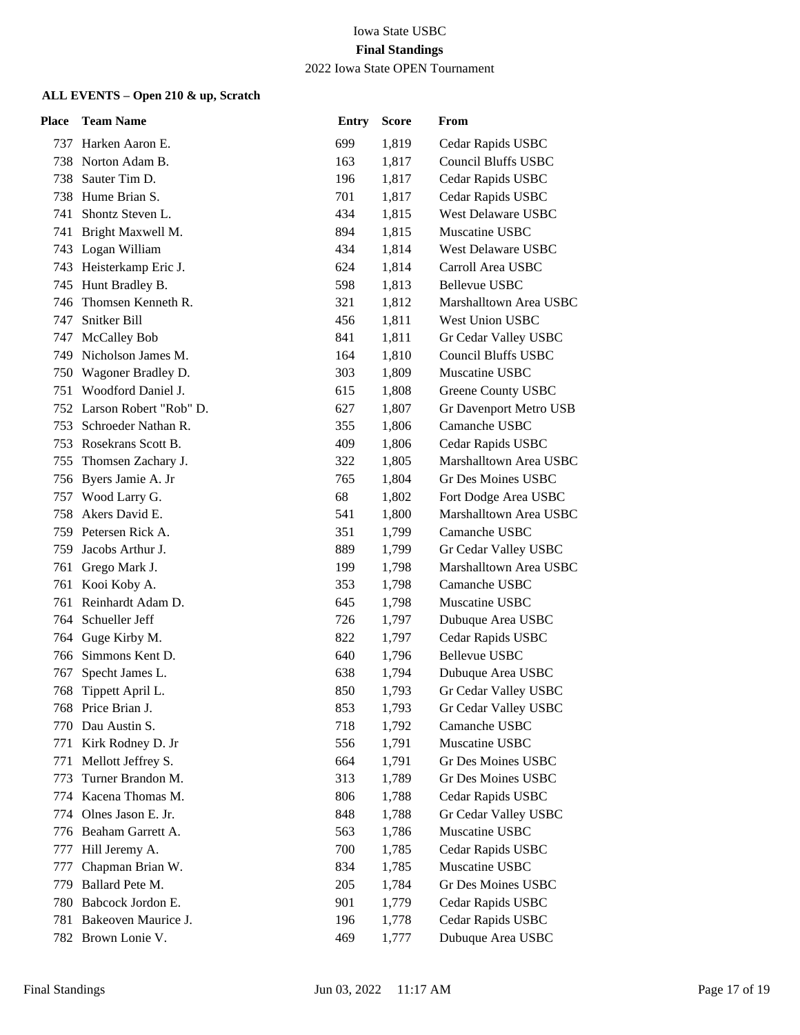2022 Iowa State OPEN Tournament

| Place | <b>Team Name</b>           | <b>Entry</b> | <b>Score</b> | From                       |
|-------|----------------------------|--------------|--------------|----------------------------|
|       | 737 Harken Aaron E.        | 699          | 1,819        | Cedar Rapids USBC          |
|       | 738 Norton Adam B.         | 163          | 1,817        | <b>Council Bluffs USBC</b> |
| 738   | Sauter Tim D.              | 196          | 1,817        | Cedar Rapids USBC          |
|       | 738 Hume Brian S.          | 701          | 1,817        | Cedar Rapids USBC          |
| 741   | Shontz Steven L.           | 434          | 1,815        | West Delaware USBC         |
| 741   | Bright Maxwell M.          | 894          | 1,815        | Muscatine USBC             |
|       | 743 Logan William          | 434          | 1,814        | West Delaware USBC         |
|       | 743 Heisterkamp Eric J.    | 624          | 1,814        | Carroll Area USBC          |
|       | 745 Hunt Bradley B.        | 598          | 1,813        | <b>Bellevue USBC</b>       |
| 746   | Thomsen Kenneth R.         | 321          | 1,812        | Marshalltown Area USBC     |
| 747   | Snitker Bill               | 456          | 1,811        | West Union USBC            |
|       | 747 McCalley Bob           | 841          | 1,811        | Gr Cedar Valley USBC       |
|       | 749 Nicholson James M.     | 164          | 1,810        | <b>Council Bluffs USBC</b> |
|       | 750 Wagoner Bradley D.     | 303          | 1,809        | Muscatine USBC             |
|       | 751 Woodford Daniel J.     | 615          | 1,808        | Greene County USBC         |
|       | 752 Larson Robert "Rob" D. | 627          | 1,807        | Gr Davenport Metro USB     |
|       | 753 Schroeder Nathan R.    | 355          | 1,806        | Camanche USBC              |
|       | 753 Rosekrans Scott B.     | 409          | 1,806        | Cedar Rapids USBC          |
| 755   | Thomsen Zachary J.         | 322          | 1,805        | Marshalltown Area USBC     |
|       | 756 Byers Jamie A. Jr      | 765          | 1,804        | <b>Gr Des Moines USBC</b>  |
|       | 757 Wood Larry G.          | 68           | 1,802        | Fort Dodge Area USBC       |
| 758.  | Akers David E.             | 541          | 1,800        | Marshalltown Area USBC     |
|       | 759 Petersen Rick A.       | 351          | 1,799        | Camanche USBC              |
|       | 759 Jacobs Arthur J.       | 889          | 1,799        | Gr Cedar Valley USBC       |
|       | 761 Grego Mark J.          | 199          | 1,798        | Marshalltown Area USBC     |
| 761   | Kooi Koby A.               | 353          | 1,798        | Camanche USBC              |
| 761   | Reinhardt Adam D.          | 645          | 1,798        | Muscatine USBC             |
| 764   | Schueller Jeff             | 726          | 1,797        | Dubuque Area USBC          |
|       | 764 Guge Kirby M.          | 822          | 1,797        | Cedar Rapids USBC          |
| 766   | Simmons Kent D.            | 640          | 1,796        | <b>Bellevue USBC</b>       |
| 767   | Specht James L.            | 638          | 1,794        | Dubuque Area USBC          |
| 768   | Tippett April L.           | 850          | 1,793        | Gr Cedar Valley USBC       |
|       | 768 Price Brian J.         | 853          | 1,793        | Gr Cedar Valley USBC       |
| 770   | Dau Austin S.              | 718          | 1,792        | Camanche USBC              |
| 771   | Kirk Rodney D. Jr          | 556          | 1,791        | Muscatine USBC             |
| 771   | Mellott Jeffrey S.         | 664          | 1,791        | Gr Des Moines USBC         |
| 773   | Turner Brandon M.          | 313          | 1,789        | Gr Des Moines USBC         |
| 774   | Kacena Thomas M.           | 806          | 1,788        | Cedar Rapids USBC          |
| 774   | Olnes Jason E. Jr.         | 848          | 1,788        | Gr Cedar Valley USBC       |
| 776   | Beaham Garrett A.          | 563          | 1,786        | Muscatine USBC             |
| 777   | Hill Jeremy A.             | 700          | 1,785        | Cedar Rapids USBC          |
| 777   | Chapman Brian W.           | 834          | 1,785        | Muscatine USBC             |
| 779   | Ballard Pete M.            | 205          | 1,784        | <b>Gr Des Moines USBC</b>  |
| 780   | Babcock Jordon E.          | 901          | 1,779        | Cedar Rapids USBC          |
| 781   | Bakeoven Maurice J.        | 196          | 1,778        | Cedar Rapids USBC          |
| 782   | Brown Lonie V.             | 469          | 1,777        | Dubuque Area USBC          |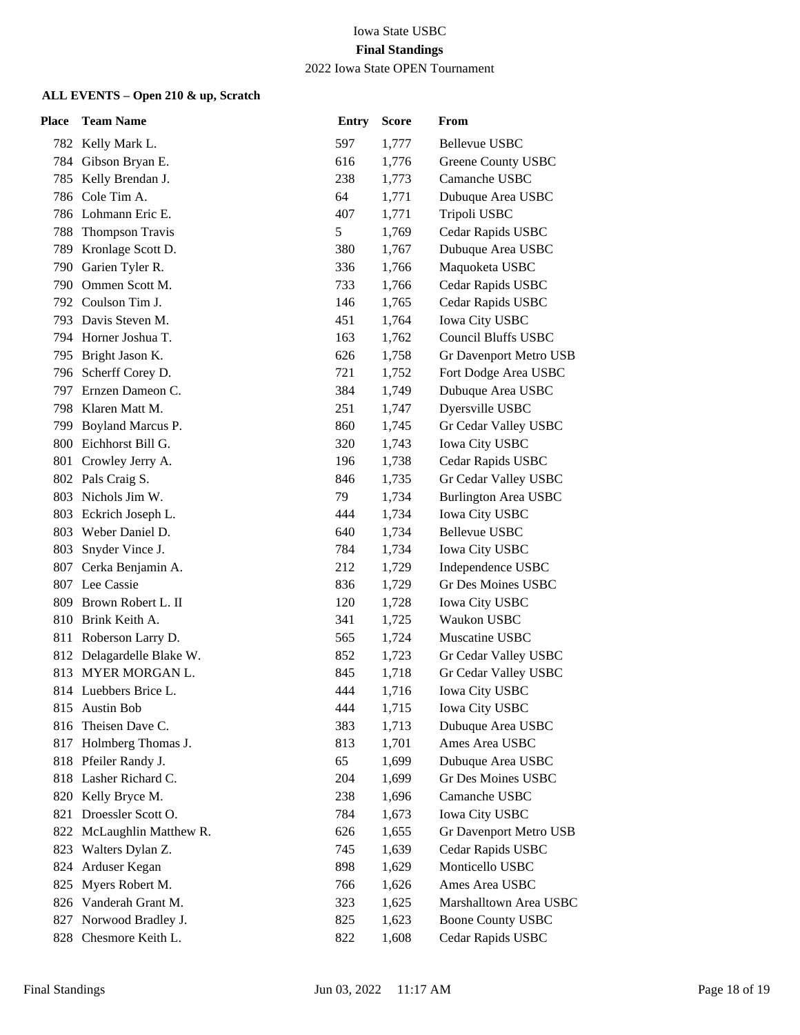#### 2022 Iowa State OPEN Tournament

| Place | <b>Team Name</b>          | <b>Entry</b> | <b>Score</b> | From                        |
|-------|---------------------------|--------------|--------------|-----------------------------|
|       | 782 Kelly Mark L.         | 597          | 1,777        | <b>Bellevue USBC</b>        |
|       | 784 Gibson Bryan E.       | 616          | 1,776        | <b>Greene County USBC</b>   |
| 785   | Kelly Brendan J.          | 238          | 1,773        | Camanche USBC               |
| 786   | Cole Tim A.               | 64           | 1,771        | Dubuque Area USBC           |
|       | 786 Lohmann Eric E.       | 407          | 1,771        | Tripoli USBC                |
| 788   | <b>Thompson Travis</b>    | 5            | 1,769        | Cedar Rapids USBC           |
| 789   | Kronlage Scott D.         | 380          | 1,767        | Dubuque Area USBC           |
|       | 790 Garien Tyler R.       | 336          | 1,766        | Maquoketa USBC              |
|       | 790 Ommen Scott M.        | 733          | 1,766        | Cedar Rapids USBC           |
|       | 792 Coulson Tim J.        | 146          | 1,765        | Cedar Rapids USBC           |
|       | 793 Davis Steven M.       | 451          | 1,764        | Iowa City USBC              |
|       | 794 Horner Joshua T.      | 163          | 1,762        | <b>Council Bluffs USBC</b>  |
|       | 795 Bright Jason K.       | 626          | 1,758        | Gr Davenport Metro USB      |
|       | 796 Scherff Corey D.      | 721          | 1,752        | Fort Dodge Area USBC        |
| 797.  | Ernzen Dameon C.          | 384          | 1,749        | Dubuque Area USBC           |
|       | 798 Klaren Matt M.        | 251          | 1,747        | Dyersville USBC             |
|       | 799 Boyland Marcus P.     | 860          | 1,745        | Gr Cedar Valley USBC        |
| 800   | Eichhorst Bill G.         | 320          | 1,743        | <b>Iowa City USBC</b>       |
| 801   | Crowley Jerry A.          | 196          | 1,738        | Cedar Rapids USBC           |
|       | 802 Pals Craig S.         | 846          | 1,735        | Gr Cedar Valley USBC        |
|       | 803 Nichols Jim W.        | 79           | 1,734        | <b>Burlington Area USBC</b> |
| 803   | Eckrich Joseph L.         | 444          | 1,734        | <b>Iowa City USBC</b>       |
|       | 803 Weber Daniel D.       | 640          | 1,734        | <b>Bellevue USBC</b>        |
| 803   | Snyder Vince J.           | 784          | 1,734        | <b>Iowa City USBC</b>       |
|       | 807 Cerka Benjamin A.     | 212          | 1,729        | Independence USBC           |
|       | 807 Lee Cassie            | 836          | 1,729        | <b>Gr Des Moines USBC</b>   |
| 809   | Brown Robert L. II        | 120          | 1,728        | <b>Iowa City USBC</b>       |
| 810   | Brink Keith A.            | 341          | 1,725        | Waukon USBC                 |
|       | 811 Roberson Larry D.     | 565          | 1,724        | Muscatine USBC              |
|       | 812 Delagardelle Blake W. | 852          | 1,723        | Gr Cedar Valley USBC        |
| 813   | MYER MORGAN L.            | 845          | 1,718        | Gr Cedar Valley USBC        |
|       | 814 Luebbers Brice L.     | 444          | 1,716        | <b>Iowa City USBC</b>       |
|       | 815 Austin Bob            | 444          | 1,715        | <b>Iowa City USBC</b>       |
| 816   | Theisen Dave C.           | 383          | 1,713        | Dubuque Area USBC           |
| 817   | Holmberg Thomas J.        | 813          | 1,701        | Ames Area USBC              |
|       | 818 Pfeiler Randy J.      | 65           | 1,699        | Dubuque Area USBC           |
|       | 818 Lasher Richard C.     | 204          | 1,699        | Gr Des Moines USBC          |
| 820   | Kelly Bryce M.            | 238          | 1,696        | Camanche USBC               |
| 821   | Droessler Scott O.        | 784          | 1,673        | Iowa City USBC              |
| 822   | McLaughlin Matthew R.     | 626          | 1,655        | Gr Davenport Metro USB      |
| 823   | Walters Dylan Z.          | 745          | 1,639        | Cedar Rapids USBC           |
| 824   | Arduser Kegan             | 898          | 1,629        | Monticello USBC             |
| 825   | Myers Robert M.           | 766          | 1,626        | Ames Area USBC              |
| 826   | Vanderah Grant M.         | 323          | 1,625        | Marshalltown Area USBC      |
| 827   | Norwood Bradley J.        | 825          | 1,623        | <b>Boone County USBC</b>    |
| 828   | Chesmore Keith L.         | 822          | 1,608        | Cedar Rapids USBC           |